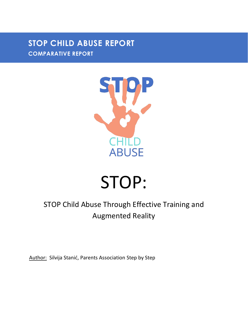### **STOP CHILD ABUSE REPORT COMPARATIVE REPORT**



# STOP:

## STOP Child Abuse Through Effective Training and Augmented Reality

Author: Silvija Stanić, Parents Association Step by Step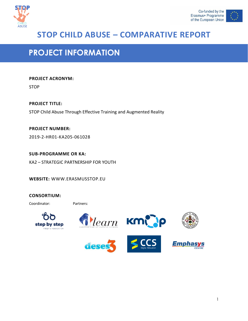



### **STOP CHILD ABUSE – COMPARATIVE REPORT**

### **PROJECT INFORMATION**

#### **PROJECT ACRONYM:**

STOP

**PROJECT TITLE:** STOP Child Abuse Through Effective Training and Augmented Reality

**PROJECT NUMBER:** 2019-2-HR01-KA205-061028

**SUB-PROGRAMME OR KA:**  KA2 – STRATEGIC PARTNERSHIP FOR YOUTH

**WEBSITE:** WWW.ERASMUSSTOP.EU

#### **CONSORTIUM:**

Coordinator: Partners:











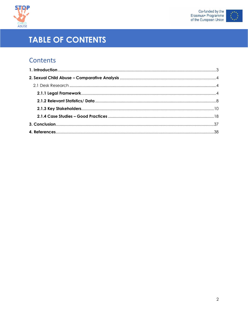



## **TABLE OF CONTENTS**

### Contents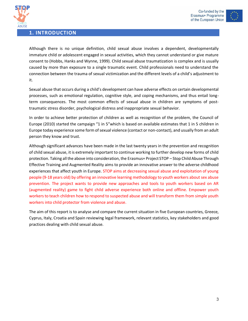



<span id="page-3-0"></span>

Although there is no unique definition, child sexual abuse involves a dependent, developmentally immature child or adolescent engaged in sexual activities, which they cannot understand or give mature consent to (Hobbs, Hanks and Wynne, 1999). Child sexual abuse traumatization is complex and is usually caused by more than exposure to a single traumatic event. Child professionals need to understand the connection between the trauma of sexual victimization and the different levels of a child's adjustment to it.

Sexual abuse that occurs during a child's development can have adverse effects on certain developmental processes, such as emotional regulation, cognitive style, and coping mechanisms, and thus entail longterm consequences. The most common effects of sexual abuse in children are symptoms of posttraumatic stress disorder, psychological distress and inappropriate sexual behavior.

In order to achieve better protection of children as well as recognition of the problem, the Council of Europe (2010) started the campaign "1 in 5"which is based on available estimates that 1 in 5 children in Europe today experience some form of sexual violence (contact or non-contact), and usually from an adult person they know and trust.

Although significant advances have been made in the last twenty years in the prevention and recognition of child sexual abuse, it is extremely important to continue working to further develop new forms of child protection. Taking all the above into consideration, the Erasmus+ Project STOP – Stop Child Abuse Through Effective Training and Augmented Reality aims to provide an innovative answer to the adverse childhood experiences that affect youth in Europe. STOP aims at decreasing sexual abuse and exploitation of young people (9-18 years old) by offering an innovative learning methodology to youth workers about sex abuse prevention. The project wants to provide new approaches and tools to youth workers based on AR (augmented reality) game to fight child adverse experience both online and offline. Empower youth workers to teach children how to respond to suspected abuse and will transform them from simple youth workers into child protector from violence and abuse.

The aim of this report is to analyse and compare the current situation in five European countries, Greece, Cyprus, Italy, Croatia and Spain reviewing legal framework, relevant statistics, key stakeholders and good practices dealing with child sexual abuse.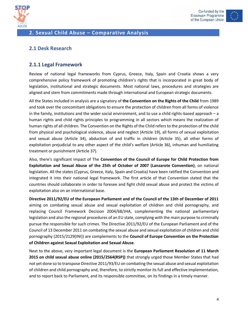



#### <span id="page-4-0"></span>**2. Sexual Child Abuse – Comparative Analysis**

#### <span id="page-4-1"></span>**2.1 Desk Research**

#### <span id="page-4-2"></span>**2.1.1 Legal Framework**

Review of national legal frameworks from Cyprus, Greece, Italy, Spain and Croatia shows a very comprehensive policy framework of promoting children's rights that is incorporated in great body of legislation, institutional and strategic documents. Most national laws, procedures and strategies are aligned and stem from commitments made through international and European strategic documents.

All the States included in analysis are a signatory of **the Convention on the Rights of the Child** from 1989 and took over the concomitant obligations to ensure the protection of children from all forms of violence in the family, institutions and the wider social environment, and to use a child rights-based approach – a human rights and child rights principles to programming in all sectors which means the realization of human rights of all children. The Convention on the Rights of the Child refers to the protection of the child from physical and psychological violence, abuse and neglect (Article 19), all forms of sexual exploitation and sexual abuse (Article 34), abduction of and traffic in children (Article 35), all other forms of exploitation prejudicial to any other aspect of the child's welfare (Article 36), inhuman and humiliating treatment or punishment (Article 37).

Also, there's significant impact of The **Convention of the Council of Europe for Child Protection from Exploitation and Sexual Abuse of the 25th of October of 2007 (Lanzarote Convention)**, on national legislation. All the states (Cyprus, Greece, Italy, Spain and Croatia) have been ratified the Convention and integrated it into their national legal framework. The first article of that Convention stated that the countries should collaborate in order to foresee and fight child sexual abuse and protect the victims of exploitation also on an international base.

**Directive 2011/92/EU of the European Parliament and of the Council of the 13th of December of 2011** aiming on combating sexual abuse and sexual exploitation of children and child pornography, and replacing Council Framework Decision 2004/68/JHA, complementing the national parliamentary legislation and also the regional procedures of an EU state, complying with the main purpose to criminally pursue the responsible for such crimes. The Directive 2011/92/EU of the European Parliament and of the Council of 13 December 2011 on combating the sexual abuse and sexual exploitation of children and child pornography (2015/2129(INI)) are complements to the **Council of Europe Convention on the Protection of Children against Sexual Exploitation and Sexual Abuse**.

Next to the above, very important legal document is the **European Parliament Resolution of 11 March 2015 on child sexual abuse online (2015/2564(RSP))** that strongly urged those Member States that had not yet done so to transpose Directive 2011/93/EU on combating the sexual abuse and sexual exploitation of children and child pornography and, therefore, to strictly monitor its full and effective implementation, and to report back to Parliament, and its responsible committee, on its findings in a timely manner.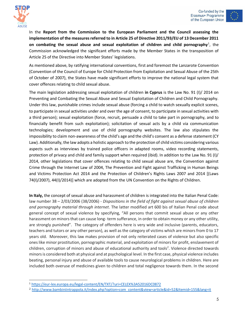



In the **Report from the Commission to the European Parliament and the Council assessing the implementation of the measures referred to in Article 25 of Directive 2011/93/EU of 13 December 2011**  on combating the sexual abuse and sexual exploitation of children and child pornography<sup>1</sup>, the Commission acknowledged the significant efforts made by the Member States in the transposition of Article 25 of the Directive into Member States' legislations.

As mentioned above, by ratifying international conventions, first and foremost the Lanzarote Convention (Convention of the Council of Europe for Child Protection from Exploitation and Sexual Abuse of the 25th of October of 2007), the States have made significant efforts to improve the national legal system that cover offences relating to child sexual abuse.

The main legislation addressing sexual exploitation of children **in Cyprus** is the Law No. 91 (I)/ 2014 on Preventing and Combating the Sexual Abuse and Sexual Exploitation of Children and Child Pornography. Under this law, punishable crimes include sexual abuse (forcing a child to watch sexually explicit scenes, to participate in sexual activities under and over the age of consent, to participate in sexual activities with a third person); sexual exploitation (force, recruit, persuade a child to take part in pornography, and to financially benefit from such exploitation); solicitation of sexual acts by a child via communication technologies; development and use of child pornography websites. The law also stipulates the impossibility to claim non-awareness of the child's age and the child's consent as a defense statement (CY Law). Additionally, the law adopts a holistic approach to the protection of child victims considering various aspects such as interviews by trained police officers in adapted rooms, video recording statements, protection of privacy and child and family support when required (ibid). In addition to the Law No. 91 (I)/ 2014, other legislations that cover offences relating to child sexual abuse are, the Convention against Crime through the Internet Law of 2004, The Prevention and Fight against Trafficking in Human Beings and Victims Protection Act 2014 and the Protection of Children's Rights Laws 2007 and 2014 [(Laws 74(I)/2007), 44(I)/2014)] which are adopted from the UN Convention on the Rights of Children.

**In Italy,** the concept of sexual abuse and harassment of children is integrated into the Italian Penal Code: law number 38 – 2/03/2006 (38/2006) - *Dispositions in the field of fight against sexual abuse of children and pornography material through internet*. The latter modified art 600 bis of Italian Penal code about general concept of sexual violence by specifying, "All persons that commit sexual abuse or any other harassment on minors that can cause long- term sufferance, in order to obtain money or any other utility, are strongly punished". The category of offenders here is very wide and inclusive (parents, educators, teachers and tutors or any other person), as well as the category of victims which are minors from 0 to 17 years old. Moreover, this law makes provision of not only reiterated cases of violence but also specific ones like minor prostitution, pornographic material, and exploitation of minors for profit, enslavement of children, corruption of minors and abuse of educational authority and tools<sup>2</sup>. Violence directed towards minors is considered both at physical and at psychological level. In the first case, physical violence includes beating, personal injury and abuse of available tools to cause neurological problems in children. Here are included both overuse of medicines given to children and total negligence towards them. In the second

<sup>1</sup> <https://eur-lex.europa.eu/legal-content/EN/TXT/?uri=CELEX%3A52016DC0872>

<sup>2</sup> [http://www.bambiniintrappola.it/index.php?option=com\\_content&view=article&id=52&Itemid=155&lang=it](http://www.bambiniintrappola.it/index.php?option=com_content&view=article&id=52&Itemid=155&lang=it)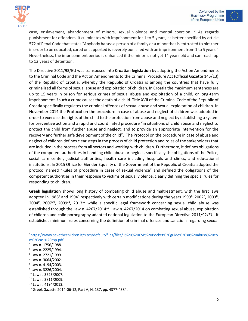



case, enslavement, abandonment of minors, sexual violence and mental coercion.  $3$  As regards punishment for offenders, it culminates with imprisonment for 1 to 5 years, as better specified by article 572 of Penal Code that states "Anybody harass a person of a family or a minor that is entrusted to him/her in order to be educated, cared or supported is severely punished with an imprisonment from 1 to 5 years." Nevertheless, the imprisonment period is enhanced if the minor is not yet 14 years old and can reach up to 12 years of detention.

The Directive 2011/93/EU was transposed into **Croatian legislation** by adopting the Act on Amendments to the Criminal Code and the Act on Amendments to the Criminal Procedure Act (Official Gazette 145/13) of the Republic of Croatia, whereby the Republic of Croatia is among the countries that have fully criminalized all forms of sexual abuse and exploitation of children. In Croatia the maximum sentences are up to 15 years in prison for serious crimes of sexual abuse and exploitation of a child, or long-term imprisonment if such a crime causes the death of a child. Title XVII of the Criminal Code of the Republic of Croatia specifically regulates the criminal offences of sexual abuse and sexual exploitation of children. In November 2014 the Protocol on the procedure in case of abuse and neglect of children was adopted in order to exercise the rights of the child to the protection from abuse and neglect by establishing a system for preventive action and a rapid and coordinated procedure "in situations of child abuse and neglect to protect the child from further abuse and neglect, and to provide an appropriate intervention for the recovery and further safe development of the child". The Protocol on the procedure in case of abuse and neglect of children defines clear steps in the process of child protection and roles of the stakeholders that are included in the process from all sectors and working with children. Furthermore, it defines obligations of the competent authorities in handling child abuse or neglect, specifically the obligations of the Police, social care center, judicial authorities, health care including hospitals and clinics, and educational institutions. In 2015 Office for Gender Equality of the Government of the Republic of Croatia adopted the protocol named "Rules of procedure in cases of sexual violence" and defined the obligations of the competent authorities in their response to victims of sexual violence, clearly defining the special rules for responding to children.

**Greek legislation** shows long history of combating child abuse and maltreatment, with the first laws adopted in 1988<sup>4</sup> and 1994<sup>5</sup> respectively with certain modifications during the years 1999<sup>6</sup>, 2002<sup>7</sup>, 2003<sup>8</sup>,  $2004^9$ ,  $2007^{10}$ ,  $2009^{11}$ ,  $2013^{12}$  while a specific legal framework concerning sexual child abuse was established through the Law n. 4267/2014<sup>13</sup>. Law n. 4267/2014 on combating sexual abuse, exploitation of children and child pornography adapted national legislation to the European Directive 2011/92/EU. It establishes minimum rules concerning the definition of criminal offences and sanctions regarding sexual

- 8 Law n. 4194/2003.
- <sup>9</sup> Law n. 3226/2004.
- <sup>10</sup> Law n. 3625/2007.

 $12$  Law n. 4194/2013.

<sup>3</sup>[https://www.savethechildren.it/sites/default/files/files/1%20%20CSP%20Pocket%20guide%20su%20abuso%20co](https://www.savethechildren.it/sites/default/files/files/1%20%20CSP%20Pocket%20guide%20su%20abuso%20con%20casi%20csp.pdf) [n%20casi%20csp.pdf](https://www.savethechildren.it/sites/default/files/files/1%20%20CSP%20Pocket%20guide%20su%20abuso%20con%20casi%20csp.pdf)

<sup>4</sup> Law n. 1756/1988.

<sup>5</sup> Law n. 2225/1994.

<sup>6</sup> Law n. 2721/1999.

<sup>7</sup> Law n. 3064/2002.

<sup>11</sup> Law n. 3811/2009.

<sup>13</sup> Greek Gazette 2014-06-12, Part A, N. 137, pp. 4377-4384.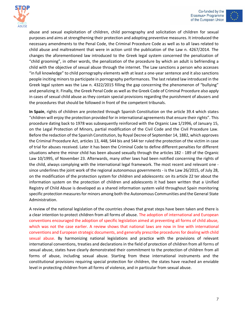



abuse and sexual exploitation of children, child pornography and solicitation of children for sexual purposes and aims at strengthening their protection and adopting preventive measures. It introduced the necessary amendments to the Penal Code, the Criminal Procedure Code as well as to all laws related to child abuse and maltreatment that were in action until the publication of the Law n. 4267/2014. The changes the aforementioned law introduced to the Greek legal system concerned the penalization of "child grooming", in other words, the penalization of the procedure by which an adult is befriending a child with the objective of sexual abuse through the internet. The Law sanctions a person who accesses "in full knowledge" to child pornography elements with at least a one-year sentence and it also sanctions people inciting minors to participate in pornography performances. The last related law introduced in the Greek legal system was the Law n. 4322/2015 filling the gap concerning the phenomenon of "bullying" and penalizing it. Finally, the Greek Penal Code as well as the Greek Code of Criminal Procedure also apply in cases of sexual child abuse as they contain special provisions regarding the punishment of abusers and the procedures that should be followed in front of the competent tribunals.

**In Spain**, rights of children are protected through Spanish Constitution on the article 39.4 which states "children will enjoy the protection provided for in international agreements that ensure their rights". This procedure dating back to 1978 was subsequently reinforced with the Organic Law 1/1996, of January 15, on the Legal Protection of Minors, partial modification of the Civil Code and the Civil Procedure Law. Before the redaction of the Spanish Constitution, by Royal Decree of September 14, 1882, which approves the Criminal Procedure Act, articles 13, 448, 544 bis and 544 ter ruled the protection of the victim in case of trial for abuses received. Later it has been the Criminal Code to define different penalties for different situations where the minor child has been abused sexually through the articles 182 - 189 of the Organic Law 10/1995, of November 23. Afterwards, many other laws had been notified concerning the rights of the child, always complying with the international legal framework. The most recent and relevant one since underlines the joint work of the regional autonomous governments - is the Law 26/2015, of July 28, on the modification of the protection system for children and adolescents: on its article 22 ter about the information system on the protection of children and adolescents it had been written that a Unified Registry of Child Abuse is developed as a shared information system valid throughout Spain monitoring specific protection measures for minors among both the Autonomous Communities and the General State Administration.

A review of the national legislation of the countries shows that great steps have been taken and there is a clear intention to protect children from all forms of abuse. The adoption of international and European conventions encouraged the adoption of specific legislation aimed at preventing all forms of child abuse, which was not the case earlier. A review shows that national laws are now in line with international conventions and European strategic documents, and generally prescribe procedures for dealing with child sexual abuse. By harmonizing national legislations and practice with the provisions of relevant international conventions, treaties and declarations in the field of protection of children from all forms of sexual abuse, states have clearly demonstrated their commitment to the protection of children from all forms of abuse, including sexual abuse. Starting from these international instruments and the constitutional provisions requiring special protection for children, the states have reached an enviable level in protecting children from all forms of violence, and in particular from sexual abuse.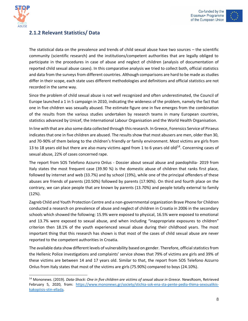



### <span id="page-8-0"></span>**2.1.2 Relevant Statistics/ Data**

The statistical data on the prevalence and trends of child sexual abuse have two sources – the scientific community (scientific research) and the institutions/competent authorities that are legally obliged to participate in the procedures in case of abuse and neglect of children (analysis of documentation of reported child sexual abuse cases). In this comparative analysis we tried to collect both, official statistics and data from the surveys from different countries. Although comparisons are hard to be made as studies differ in their scope, each state uses different methodologies and definitions and official statistics are not recorded in the same way.

Since the problem of child sexual abuse is not well recognized and often underestimated, the Council of Europe launched a 1 in 5 campaign in 2010, indicating the wideness of the problem, namely the fact that one in five children was sexually abused. The estimate figure one in five emerges from the combination of the results from the various studies undertaken by research teams in many European countries, statistics advanced by Unicef, the International Labour Organisation and the World Health Organisation.

In line with that are also some data collected through this research. In Greece, Forensics Service of Piraeus indicates that one in five children are abused. The results show that most abusers are men, older than 30, and 70-90% of them belong to the children's friendly or family environment. Most victims are girls from 13 to 18 years old but there are also many victims aged from 1 to 6 years old old<sup>14</sup>. Concerning cases of sexual abuse, 22% of cases concerned rape.

The report from SOS Telefono Azzurro Onlus - Dossier about sexual abuse and paedophilia- 2019 from Italy states the most frequent case (39.90 %) is the domestic abuse of children that ranks first place, followed by internet and web (33.7%) and by school (19%), while one of the principal offenders of these abuses are friends of parents (20.50%) followed by parents (17.90%). On third and fourth place on the contrary, we can place people that are known by parents (13.70%) and people totally external to family (12%).

Zagreb Child and Youth Protection Centre and a non-governmental organization Brave Phone for Children conducted a research on prevalence of abuse and neglect of children in Croatia in 2006 in the secondary schools which showed the following: 15.9% were exposed to physical, 16.5% were exposed to emotional and 13.7% were exposed to sexual abuse, and when including "inappropriate exposures to children" criterion then 18.1% of the youth experienced sexual abuse during their childhood years. The most important thing that this research has shown is that most of the cases of child sexual abuse are never reported to the competent authorities in Croatia.

The available data show different levels of vulnerability based on gender. Therefore, official statistics from the Hellenic Police investigations and complaints' service shows that 79% of victims are girls and 39% of these victims are between 14 and 17 years old. Similar to that, the report from SOS Telefono Azzurro Onlus from Italy states that most of the victims are girls (75.90%) compared to boys (24.10%).

<sup>14</sup> Mononews. (2019). *Data-Shock: One in five children are victims of sexual abuse in Greece*. NewsRoom, Retrieved February 5, 2020, from: [https://www.mononews.gr/society/stichia-sok-ena-sta-pente-pedia-thima-sexoualikis](https://www.mononews.gr/society/stichia-sok-ena-sta-pente-pedia-thima-sexoualikis-kakopiisis-stin-ellada)[kakopiisis-stin-ellada.](https://www.mononews.gr/society/stichia-sok-ena-sta-pente-pedia-thima-sexoualikis-kakopiisis-stin-ellada)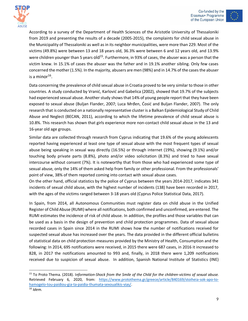



According to a survey of the Department of Health Sciences of the Aristotle University of Thessaloniki from 2019 and presenting the results of a decade (2005-2015), the complaints for child sexual abuse in the Municipality of Thessaloniki as well as in its neighbor municipalities, were more than 229. Most of the victims (49.8%) were between 13 and 18 years old, 36.3% were between 6 and 12 years old, and 13.9% were children younger than 5 years  $\mathsf{old}^{15}$ . Furthermore, in 93% of cases, the abuser was a person that the victim knew. In 15.1% of cases the abuser was the father and in 19.1% another sibling. Only few cases concerned the mother (1.5%). In the majority, abusers are men (98%) and in 14.7% of the cases the abuser is a minor $^{16}$ .

Data concerning the prevalence of child sexual abuse in Croatia proved to be very similar to those in other countries. A study conducted by Vranić, Karlović and Gabelica (2002), showed that 19.7% of the subjects had experienced sexual abuse. Another study shows that 14% of young people report that they have been exposed to sexual abuse (Buljan Flander, 2007; Luca Mrđen, Ćosić and Buljan Flander, 2007). The only research that is conducted on a nationally representative cluster is a Balkan Epidemiological Study of Child Abuse and Neglect (BECAN, 2011), according to which the lifetime prevalence of child sexual abuse is 10.8%. This research has shown that girls experience more non-contact child sexual abuse in the 13 and 16-year old age groups.

Similar data are collected through research from Cyprus indicating that 19.6% of the young adolescents reported having experienced at least one type of sexual abuse with the most frequent types of sexual abuse being speaking in sexual way directly (16.5%) or through internet (19%), showing (9.1%) and/or touching body private parts (8.8%), photo and/or video solicitation (8.3%) and tried to have sexual intercourse without consent (7%). It is noteworthy that from those who had experienced some type of sexual abuse, only the 14% of them asked help from family or other professional. From the professionals' point of view, 38% of them reported coming into contact with sexual abuse cases.

On the other hand, official statistics by the police of Cyprus between the years 2014-2017, indicates 341 incidents of sexual child abuse, with the highest number of incidents (138) have been recorded in 2017, with the ages of the victims ranged between 3-18 years old (Cyprus Police Statistical Data, 2017).

In Spain, from 2014, all Autonomous Communities must register data on child abuse in the Unified Register of Child Abuse (RUMI) where all notifications, both confirmed and unconfirmed, are entered. The RUMI estimates the incidence of risk of child abuse. In addition, the profiles and those variables that can be used as a basis in the design of prevention and child protection programmes. Data of sexual abuse recorded cases in Spain since 2014 in the RUMI shows how the number of notifications received for suspected sexual abuse has increased over the years. The data provided in the different official bulletins of statistical data on child protection measures provided by the Ministry of Health, Consumption and the following: In 2014, 695 notifications were received, in 2015 there were 687 cases, in 2016 it increased to 828, in 2017 the notifications amounted to 993 and, finally, in 2018 there were 1,209 notifications received due to suspicion of sexual abuse. In addition, Spanish National Institute of Statistics (INE)

<sup>15</sup> To Proto Thema. (2018). I*nformation-Shock from the Smile of the Child for the children-victims of sexual abuse.* Retrieved February 6, 2020, from: [https://www.protothema.gr/greece/article/840169/stoiheia-sok-apo-to](https://www.protothema.gr/greece/article/840169/stoiheia-sok-apo-to-hamogelo-tou-paidiou-gia-ta-paidia-thumata-sexoualikis-vias/)[hamogelo-tou-paidiou-gia-ta-paidia-thumata-sexoualikis-vias/.](https://www.protothema.gr/greece/article/840169/stoiheia-sok-apo-to-hamogelo-tou-paidiou-gia-ta-paidia-thumata-sexoualikis-vias/)

<sup>16</sup> *Idem.*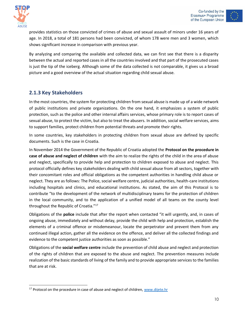



provides statistics on those convicted of crimes of abuse and sexual assault of minors under 16 years of age. In 2018, a total of 181 persons had been convicted, of whom 178 were men and 3 women, which shows significant increase in comparison with previous year.

By analyzing and comparing the available and collected data, we can first see that there is a disparity between the actual and reported cases in all the countries involved and that part of the prosecuted cases is just the tip of the iceberg. Although some of the data collected is not comparable, it gives us a broad picture and a good overview of the actual situation regarding child sexual abuse.

### <span id="page-10-0"></span>**2.1.3 Key Stakeholders**

In the most countries, the system for protecting children from sexual abuse is made up of a wide network of public institutions and private organizations. On the one hand, it emphasizes a system of public protection, such as the police and other internal affairs services, whose primary role is to report cases of sexual abuse, to protect the victim, but also to treat the abusers. In addition, social welfare services, aims to support families, protect children from potential threats and promote their rights.

In some countries, key stakeholders in protecting children from sexual abuse are defined by specific documents. Such is the case in Croatia.

In November 2014 the Government of the Republic of Croatia adopted the **Protocol on the procedure in case of abuse and neglect of children** with the aim to realize the rights of the child in the area of abuse and neglect, specifically to provide help and protection to children exposed to abuse and neglect. This protocol officially defines key stakeholders dealing with child sexual abuse from all sectors, together with their concomitant roles and official obligations as the competent authorities in handling child abuse or neglect. They are as follows: The Police, social welfare centre, judicial authorities, health-care institutions including hospitals and clinics, and educational institutions. As stated, the aim of this Protocol is to contribute "to the development of the network of multidisciplinary teams for the protection of children in the local community, and to the application of a unified model of all teams on the county level throughout the Republic of Croatia."<sup>17</sup>

Obligations of the **police** include that after the report when contacted "it will urgently, and, in cases of ongoing abuse, immediately and without delay, provide the child with help and protection, establish the elements of a criminal offence or misdemeanour, locate the perpetrator and prevent them from any continued illegal action, gather all the evidence on the offence, and deliver all the collected findings and evidence to the competent justice authorities as soon as possible."

Obligations of the **social welfare centre** include the prevention of child abuse and neglect and protection of the rights of children that are exposed to the abuse and neglect. The prevention measures include realization of the basic standards of living of the family and to provide appropriate services to the families that are at risk.

<sup>&</sup>lt;sup>17</sup> Protocol on the procedure in case of abuse and neglect of children[, www.dijete.hr](http://www.dijete.hr/)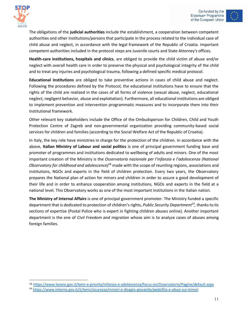



The obligations of the **judicial authorities** include the establishment, a cooperation between competent authorities and other institutions/persons that participate in the process related to the individual case of child abuse and neglect, in accordance with the legal framework of the Republic of Croatia. Important competent authorities included in the protocol steps are Juvenile courts and State Attorney's offices.

**Health-care institutions, hospitals and clinics**, are obliged to provide the child victim of abuse and/or neglect with overall health care in order to preserve the physical and psychological integrity of the child and to treat any injuries and psychological trauma, following a defined specific medical protocol.

**Educational institutions** are obliged to take preventive actions in cases of child abuse and neglect. Following the procedures defined by the Protocol, the educational institutions have to ensure that the rights of the child are realized in the cases of all forms of violence (sexual abuse, neglect, educational neglect, negligent behavior, abuse and exploitation). Furthermore, all educational institutions are obliged to implement prevention and intervention programmatic measures and to incorporate them into their institutional framework.

Other relevant key stakeholders include the Office of the Ombudsperson for Children, Child and Youth Protection Centre of Zagreb and non-governmental organization providing community-based social services for children and families (according to the Social Welfare Act of the Republic of Croatia).

In Italy, the key role have ministries in charge for the protection of the children. In accordance with the above, **Italian Ministry of Labour and social politics** is one of principal government funding base and promoter of programmes and institutions dedicated to wellbeing of adults and minors. One of the most important creation of the Ministry is the *Osservatorio nazionale per l'infanzia e l'adolescenza (National Observatory for childhood and adolescence)<sup>18</sup>* made with the scope of reuniting regions, associations and institutions, NGOs and experts in the field of children protection. Every two years, the Observatory prepares the National plan of action for minors and children in order to assure a good development of their life and in order to enhance cooperation among institutions, NGOs and experts in the field at a national level. This Observatory works as one of the most important institutions in the Italian nation.

**The Ministry of Internal Affairs** is one of principal government promoter. The Ministry funded a specific department that is dedicated to protection of children's rights, *Public Security Department<sup>19</sup> ,* thanks to its sections of expertise (Postal Police who is expert in fighting children abuses online). Another important department is the one of *Civil Freedom and migration* whose aim is to analyze cases of abuses among foreign families.

<sup>18</sup> <https://www.lavoro.gov.it/temi-e-priorita/infanzia-e-adolescenza/focus-on/Osservatorio/Pagine/default.aspx>

<sup>19</sup> <https://www.interno.gov.it/it/temi/sicurezza/minori-e-disagio-giovanile/pedofilia-e-abusi-sui-minori>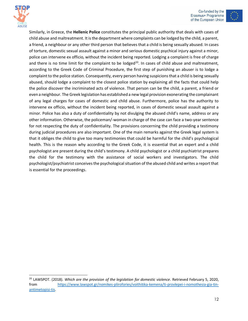



Similarly, in Greece, the **Hellenic Police** constitutes the principal public authority that deals with cases of child abuse and maltreatment. It is the department where complaints can be lodged by the child, a parent, a friend, a neighbour or any other third person that believes that a child is being sexually abused. In cases of torture, domestic sexual assault against a minor and serious domestic psychical injury against a minor, police can intervene ex officio, without the incident being reported. Lodging a complaint is free of charge and there is no time limit for the complaint to be lodged<sup>20</sup>. In cases of child abuse and maltreatment, according to the Greek Code of Criminal Procedure, the first step of punishing an abuser is to lodge a complaint to the police station. Consequently, every person having suspicions that a child is being sexually abused, should lodge a complaint to the closest police station by explaining all the facts that could help the police discover the incriminated acts of violence. That person can be the child, a parent, a friend or even a neighbour. The Greek legislation has established a new legal provision exonerating the complainant of any legal charges for cases of domestic and child abuse. Furthermore, police has the authority to intervene ex officio, without the incident being reported, in cases of domestic sexual assault against a minor. Police has also a duty of confidentiality by not divulging the abused child's name, address or any other information. Otherwise, the policeman/-woman in charge of the case can face a two-year sentence for not respecting the duty of confidentiality. The provisions concerning the child providing a testimony during judicial procedures are also important. One of the main remarks against the Greek legal system is that it obliges the child to give too many testimonies that could be harmful for the child's psychological health. This is the reason why according to the Greek Code, it is essential that an expert and a child psychologist are present during the child's testimony. A child psychologist or a child psychiatrist prepares the child for the testimony with the assistance of social workers and investigators. The child psychologist/psychiatrist conceives the psychological situation of the abused child and writes a report that is essential for the proceedings.

<sup>20</sup> LAWSPOT. (2018). *Which are the provision of the legislation for domestic violence*. Retrieved February 5, 2020, from [https://www.lawspot.gr/nomikes-plirofories/voithitika-kemena/ti-provlepei-i-nomothesia-gia-tin](https://www.lawspot.gr/nomikes-plirofories/voithitika-kemena/ti-provlepei-i-nomothesia-gia-tin-antimetopisi-tis)[antimetopisi-tis.](https://www.lawspot.gr/nomikes-plirofories/voithitika-kemena/ti-provlepei-i-nomothesia-gia-tin-antimetopisi-tis)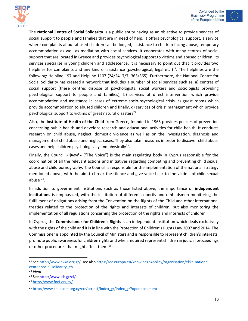



The **National Centre of Social Solidarity** is a public entity having as an objective to provide services of social support to people and families that are in need of help. It offers psychological support, a service where complaints about abused children can be lodged, assistance to children facing abuse, temporary accommodation as well as mediation with social services. It cooperates with many centres of social support that are located in Greece and provides psychological support to victims and abused children. Its services specialize in young children and adolescence. It is necessary to point out that it provides two helplines for complaints and any kind of assistance (psychological, legal etc.)<sup>21</sup>. The helplines are the following: Helpline 197 and Helpline 1107 (24/24, 7/7, 365/365). Furthermore, the National Centre for Social Solidarity has created a network that includes a number of social services such as: a) centres of social support (these centres dispose of psychologists, social workers and sociologists providing psychological support to people and families), b) services of direct intervention which provide accommodation and assistance in cases of extreme socio-psychological crisis, c) guest rooms which provide accommodation to abused children and finally, d) services of crisis' management which provide psychological support to victims of great natural disasters<sup>22</sup>.

Also, the **Institute of Health of the Child** from Greece, founded in 1965 provides policies of prevention concerning public health and develops research and educational activities for child health. It conducts research on child abuse, neglect, domestic violence as well as on the investigation, diagnosis and management of child abuse and neglect cases. They also take measures in order to discover child abuse cases and help children psychologically and physically<sup>23</sup>.

Finally, the Council «Φωνή» ("The Voice") is the main regulating body in Cyprus responsible for the coordination of all the relevant actions and initiatives regarding combating and preventing child sexual abuse and child pornography. The Council is responsible for the implementation of the national strategy mentioned above, with the aim to break the silence and give voice back to the victims of child sexual abuse<sup>24</sup>.

In addition to government institutions such as those listed above, the importance of **independent institutions** is emphasized, with the institution of different councils and ombudsmen monitoring the fulfillment of obligations arising from the Convention on the Rights of the Child and other international treaties related to the protection of the rights and interests of children, but also monitoring the implementation of all regulations concerning the protection of the rights and interests of children.

In Cyprus, the **Commissioner for Children's Rights** is an independent institution which deals exclusively with the rights of the child and it is in line with the Protection of Children's Rights Law 2007 and 2014. The Commissioner is appointed by the Council of Ministers and is responsible to represent children's interests, promote public awareness for children rights and when required represent children in judicial proceedings or other procedures that might affect them.<sup>25</sup>

<sup>&</sup>lt;sup>21</sup> Se[e http://www.ekka.org.gr/,](http://www.ekka.org.gr/) see als[o https://ec.europa.eu/knowledge4policy/organisation/ekka-national](https://ec.europa.eu/knowledge4policy/organisation/ekka-national-center-social-solidarity_en)[center-social-solidarity\\_en.](https://ec.europa.eu/knowledge4policy/organisation/ekka-national-center-social-solidarity_en)

<sup>22</sup> *Idem.*

<sup>23</sup> Se[e http://www.ich.gr/el/.](http://www.ich.gr/el/)

<sup>24</sup> <http://www.foni.org.cy/>

<sup>&</sup>lt;sup>25</sup> [http://www.childcom.org.cy/ccr/ccr.nsf/index\\_gr/index\\_gr?opendocument](http://www.childcom.org.cy/ccr/ccr.nsf/index_gr/index_gr?opendocument)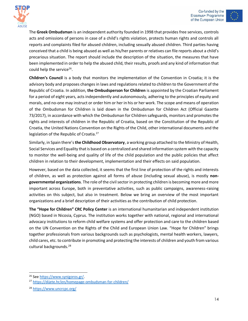



The **Greek Ombudsman** is an independent authority founded in 1998 that provides free services, controls acts and omissions of persons in case of a child's rights violation, protects human rights and controls all reports and complaints filed for abused children, including sexually abused children. Third parties having conceived that a child is being abused as well as his/her parents or relatives can file reports about a child's precarious situation. The report should include the description of the situation, the measures that have been implemented in order to help the abused child, their results, proofs and any kind of information that could help the service<sup>26</sup>.

**Children's Council** is a body that monitors the implementation of the Convention in Croatia; it is the advisory body and proposes changes in laws and regulations related to children to the Government of the Republic of Croatia. In addition, **the Ombudsperson for Children** is appointed by the Croatian Parliament for a period of eight years, acts independently and autonomously, adhering to the principles of equity and morals, and no-one may instruct or order him or her in his or her work. The scope and means of operation of the Ombudsman for Children is laid down in the Ombudsman for Children Act (Official Gazette 73/2017), in accordance with which the Ombudsman for Children safeguards, monitors and promotes the rights and interests of children in the Republic of Croatia, based on the Constitution of the Republic of Croatia, the United Nations Convention on the Rights of the Child, other international documents and the legislation of the Republic of Croatia.<sup>27</sup>

Similarly, in Spain there's **the Childhood Observatory**, a working group attached to the Ministry of Health, Social Services and Equality that is based on a centralized and shared information system with the capacity to monitor the well-being and quality of life of the child population and the public policies that affect children in relation to their development, implementation and their effects on said population.

However, based on the data collected, it seems that the first line of protection of the rights and interests of children, as well as protection against all forms of abuse (including sexual abuse), is mostly **nongovernmental organizations**. The role of the civil sector in protecting children is becoming more and more important across Europe, both in preventative activities, such as public campaigns, awareness-raising activities on this subject, but also in treatment. Below we bring an overview of the most important organizations and a brief description of their activities as the contribution of child protection.

**The "Hope for Children" CRC Policy Center** is an international humanitarian and independent institution (NGO) based in Nicosia, Cyprus. The institution works together with national, regional and international advocacy institutions to reform child welfare systems and offer protection and care to the children based on the UN Convention on the Rights of the Child and European Union Law. "Hope for Children" brings together professionals from various backgrounds such as psychologists, mental health workers, lawyers, child cares, etc. to contribute in promoting and protecting the interests of children and youth from various cultural backgrounds.<sup>28</sup>

<sup>26</sup> Se[e https://www.synigoros.gr/.](https://www.synigoros.gr/)

<sup>27</sup> <https://dijete.hr/en/homepage-ombudsman-for-children/>

<sup>28</sup> <https://www.uncrcpc.org/>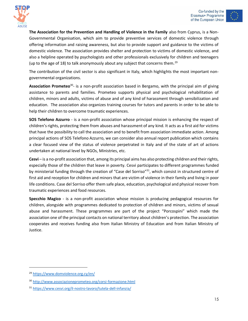



**The Association for the Prevention and Handling of Violence in the Family** also from Cyprus, is a Non-Governmental Organisation, which aim to provide preventive services of domestic violence through offering information and raising awareness, but also to provide support and guidance to the victims of domestic violence. The association provides shelter and protection to victims of domestic violence, and also a helpline operated by psychologists and other professionals exclusively for children and teenagers (up to the age of 18) to talk anonymously about any subject that concerns them.<sup>29</sup>

The contribution of the civil sector is also significant in Italy, which highlights the most important nongovernmental organizations.

Association Prometeo<sup>30</sup>- is a non-profit association based in Bergamo, with the principal aim of giving assistance to parents and families. Prometeo supports physical and psychological rehabilitation of children, minors and adults, victims of abuse and of any kind of harassment through sensibilization and education. The association also organizes training courses for tutors and parents in order to be able to help their children to overcome traumatic experiences.

**SOS Telefono Azzurro** - is a non-profit association whose principal mission is enhancing the respect of children's rights, protecting them from abuses and harassment of any kind. It acts as a first aid for victims that have the possibility to call the association and to benefit from association immediate action. Among principal actions of SOS Telefono Azzurro, we can consider also annual report publication which contains a clear focused view of the status of violence perpetrated in Italy and of the state of art of actions undertaken at national level by NGOs, Ministries, etc.

**Cesvi** – is a no-profit association that, among its principal aims has also protecting children and their rights, especially those of the children that leave in poverty. Cesvi participates to different programmes funded by ministerial funding through the creation of "Case del Sorriso"<sup>31</sup>, which consist in structured centre of first aid and reception for children and minors that are victim of violence in their family and living in poor life conditions. Case del Sorriso offer them safe place, education, psychological and physical recover from traumatic experiences and food resources.

**Specchio Magico** - is a non-profit association whose mission is producing pedagogical resources for children, alongside with programmes dedicated to protection of children and minors, victims of sexual abuse and harassment. These programmes are part of the project "Porcospini" which made the association one of the principal contacts on national territory about children's protection. The association cooperates and receives funding also from Italian Ministry of Education and from Italian Ministry of Justice.

<sup>29</sup> <https://www.domviolence.org.cy/en/>

<sup>30</sup> <http://www.associazioneprometeo.org/corsi-formazione.html>

<sup>31</sup> <https://www.cesvi.org/il-nostro-lavoro/tutela-dell-infanzia/>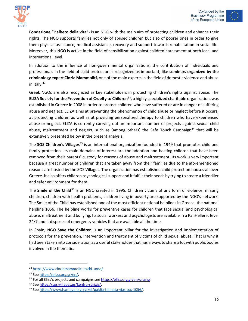



**Fondazione "L'albero della vita"-** is an NGO with the main aim of protecting children and enhance their rights. The NGO supports families not only of abused children but also of poorer ones in order to give them physical assistance, medical assistance, recovery and support towards rehabilitation in social life. Moreover, this NGO is active in the field of sensibilization against children harassment at both local and international level.

In addition to the influence of non-governmental organizations, the contribution of individuals and professionals in the field of child protection is recognized as important, like **seminars organized by the criminology expert Cinzia Mammoliti,** one of the main experts in the field of domestic violence and abuse in Italy.<sup>32</sup>

Greek NGOs are also recognized as key stakeholders in protecting children's rights against abuse. The **ELIZA Society for the Prevention of Cruelty to Children<sup>33</sup>, a highly specialized charitable organization, was** established in Greece in 2008 in order to protect children who have suffered or are in danger of suffering abuse and neglect. ELIZA aims at preventing the phenomenon of child abuse or neglect before it occurs, at protecting children as well as at providing personalized therapy to children who have experienced abuse or neglect. ELIZA is currently carrying out an important number of projects against sexual child abuse, maltreatment and neglect, such as (among others) the Safe Touch Campaign<sup>34</sup> that will be extensively presented below in the present analysis.

The **SOS Children's Villages**<sup>35</sup> is an international organization founded in 1949 that promotes child and family protection. Its main domains of interest are the adoption and hosting children that have been removed from their parents' custody for reasons of abuse and maltreatment. Its work is very important because a great number of children that are taken away from their families due to the aforementioned reasons are hosted by the SOS Villages. The organization has established child protection houses all over Greece. It also offers children psychological support and it fulfils their needs by trying to create a friendlier and safer environment for them.

The **Smile of the Child**<sup>36</sup> is an NGO created in 1995. Children victims of any form of violence, missing children, children with health problems, children living in poverty are supported by the NGO's network. The Smile of the Child has established one of the most efficient national helplines in Greece, the national helpline 1056. The helpline works for preventive cases for children that face sexual and psychological abuse, maltreatment and bullying. Its social workers and psychologists are available in a PanHellenic level 24/7 and it disposes of emergency vehicles that are available all the time.

In Spain, NGO **Save the Children** is an important pillar for the investigation and implementation of protocols for the prevention, intervention and treatment of victims of child sexual abuse. That is why it had been taken into consideration as a useful stakeholder that has always to share a lot with public bodies involved in the thematic.

<sup>32</sup> <https://www.cinziamammoliti.it/chi-sono/>

<sup>33</sup> Se[e https://eliza.org.gr/en/.](https://eliza.org.gr/en/)

<sup>&</sup>lt;sup>34</sup> For all Eliza's projects and campaigns see [https://eliza.org.gr/en/drasis/.](https://eliza.org.gr/en/drasis/)

<sup>35</sup> Se[e https://sos-villages.gr/kentra-stirixis/.](https://sos-villages.gr/kentra-stirixis/)

<sup>36</sup> Se[e https://www.hamogelo.gr/gr/el/paidia-thimata-vias:sos-1056/.](https://www.hamogelo.gr/gr/el/paidia-thimata-vias:sos-1056/)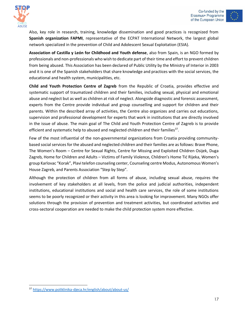



Also, key role in research, training, knowledge dissemination and good practices is recognized from **Spanish organization FAPMI**, representative of the ECPAT International Network, the largest global network specialized in the prevention of Child and Adolescent Sexual Exploitation (ESIA).

**Association of Castilla y León for Childhood and Youth defense**, also from Spain, is an NGO formed by professionals and non-professionals who wish to dedicate part of their time and effort to prevent children from being abused. This Association has been declared of Public Utility by the Ministry of Interior in 2003 and it is one of the Spanish stakeholders that share knowledge and practices with the social services, the educational and health system, municipalities, etc.

**Child and Youth Protection Centre of Zagreb** from the Republic of Croatia, provides effective and systematic support of traumatized children and their families, including sexual, physical and emotional abuse and neglect but as well as children at risk of neglect. Alongside diagnostic and forensic assessment, experts from the Centre provide individual and group counselling and support for children and their parents. Within the described array of activities, the Centre also organizes and carries out educations, supervision and professional development for experts that work in institutions that are directly involved in the issue of abuse. The main goal of The Child and Youth Protection Centre of Zagreb is to provide efficient and systematic help to abused and neglected children and their families<sup>37</sup>.

Few of the most influential of the non-governmental organizations from Croatia providing communitybased social services for the abused and neglected children and their families are as follows: Brave Phone, The Women's Room – Centre for Sexual Rights, Centre for Missing and Exploited Children Osijek, Duga Zagreb, Home for Children and Adults – Victims of Family Violence, Children's Home Tić Rijeka, Women's group Karlovac "Korak", Plavi telefon counseling center, Counseling centre Modus, Autonomous Women's House Zagreb, and Parents Association "Step by Step".

Although the protection of children from all forms of abuse, including sexual abuse, requires the involvement of key stakeholders at all levels, from the police and judicial authorities, independent institutions, educational institutions and social and health care services, the role of some institutions seems to be poorly recognized or their activity in this area is looking for improvement. Many NGOs offer solutions through the provision of prevention and treatment activities, but coordinated activities and cross-sectoral cooperation are needed to make the child protection system more effective.

<sup>37</sup> <https://www.poliklinika-djeca.hr/english/about/about-us/>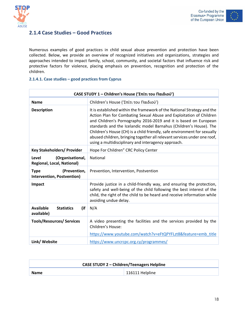

#### <span id="page-18-0"></span>**2.1.4 Case Studies – Good Practices**

Numerous examples of good practices in child sexual abuse prevention and protection have been collected. Below, we provide an overview of recognized initiatives and organizations, strategies and approaches intended to impact family, school, community, and societal factors that influence risk and protective factors for violence, placing emphasis on prevention, recognition and protection of the children.

#### **2.1.4.1. Case studies – good practices from Cyprus**

| CASE STUDY 1 - Children's House ('Σπίτι του Παιδιού')          |                                                                                                                                                                                                                                                                                                                                                                                                                                                                                                         |
|----------------------------------------------------------------|---------------------------------------------------------------------------------------------------------------------------------------------------------------------------------------------------------------------------------------------------------------------------------------------------------------------------------------------------------------------------------------------------------------------------------------------------------------------------------------------------------|
| <b>Name</b>                                                    | Children's House ('Σπίτι του Παιδιού')                                                                                                                                                                                                                                                                                                                                                                                                                                                                  |
| <b>Description</b>                                             | It is established within the framework of the National Strategy and the<br>Action Plan for Combating Sexual Abuse and Exploitation of Children<br>and Children's Pornography 2016-2019 and it is based on European<br>standards and the Icelandic model Barnahus (Children's House). The<br>Children's House (CH) is a child friendly, safe environment for sexually<br>abused children, bringing together all relevant services under one roof,<br>using a multidisciplinary and interagency approach. |
| <b>Key Stakeholders/ Provider</b>                              | Hope For Children" CRC Policy Center                                                                                                                                                                                                                                                                                                                                                                                                                                                                    |
| (Organisational,<br>Level<br><b>Regional, Local, National)</b> | National                                                                                                                                                                                                                                                                                                                                                                                                                                                                                                |
| (Prevention,<br><b>Type</b><br>Intervention, Postvention)      | Prevention, Intervention, Postvention                                                                                                                                                                                                                                                                                                                                                                                                                                                                   |
| Impact                                                         | Provide justice in a child-friendly way, and ensuring the protection,<br>safety and well-being of the child following the best interest of the<br>child, the right of the child to be heard and receive information while<br>avoiding undue delay.                                                                                                                                                                                                                                                      |
| <b>Available</b><br>(if<br><b>Statistics</b><br>available)     | N/A                                                                                                                                                                                                                                                                                                                                                                                                                                                                                                     |
| <b>Tools/Resources/ Services</b>                               | A video presenting the facilities and the services provided by the<br>Children's House:<br>https://www.youtube.com/watch?v=eFtQPYFLzt8&feature=emb_title                                                                                                                                                                                                                                                                                                                                                |
| Link/ Website                                                  | https://www.uncrcpc.org.cy/programmes/                                                                                                                                                                                                                                                                                                                                                                                                                                                                  |

| <b>CASE STUDY 2 - Children/Teenagers Helpline</b> |                 |
|---------------------------------------------------|-----------------|
| <b>Name</b>                                       | 116111 Helpline |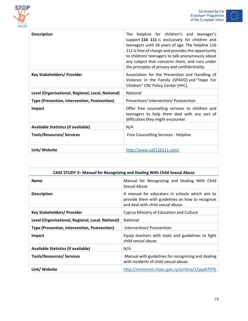



| <b>Description</b>                                | The helpline for children's and teenager's<br>support 116 111 is exclusively for children and<br>teenagers until 18 years of age. The helpline 116<br>111 is free of charge and provides the opportunity<br>to children/ teenagers to talk anonymously about<br>any subject that concerns them, and runs under<br>the principles of privacy and confidentiality. |
|---------------------------------------------------|------------------------------------------------------------------------------------------------------------------------------------------------------------------------------------------------------------------------------------------------------------------------------------------------------------------------------------------------------------------|
| <b>Key Stakeholders/ Provider</b>                 | Association for the Prevention and Handling of<br>Violence in the Family (SPAVO) and "Hope For<br>Children" CRC Policy Center (HFC).                                                                                                                                                                                                                             |
| Level (Organisational, Regional, Local, National) | National                                                                                                                                                                                                                                                                                                                                                         |
| Type (Prevention, Intervention, Postvention)      | Prevention/Intervention/Postvention                                                                                                                                                                                                                                                                                                                              |
| <b>Impact</b>                                     | Offer free counselling services to children and<br>teenagers to help them deal with any sort of<br>difficulties they might encounter.                                                                                                                                                                                                                            |
| <b>Available Statistics (if available)</b>        | N/A                                                                                                                                                                                                                                                                                                                                                              |
| <b>Tools/Resources/ Services</b>                  | Free Counselling Services - Helpline                                                                                                                                                                                                                                                                                                                             |
| Link/ Website                                     | http://www.call116111.com/                                                                                                                                                                                                                                                                                                                                       |

| CASE STUDY 3- Manual for Recognizing and Dealing With Child Sexual Abuse |                                                                                                                                         |
|--------------------------------------------------------------------------|-----------------------------------------------------------------------------------------------------------------------------------------|
| <b>Name</b>                                                              | Manual for Recognizing and Dealing With Child<br>Sexual Abuse                                                                           |
| <b>Description</b>                                                       | A manual for educators in schools which aim to<br>provide them with guidelines on how to recognize<br>and deal with child sexual abuse. |
| <b>Key Stakeholders/ Provider</b>                                        | Cyprus Ministry of Education and Culture                                                                                                |
| Level (Organisational, Regional, Local, National)                        | National                                                                                                                                |
| Type (Prevention, Intervention, Postvention)                             | Intervention/Postvention                                                                                                                |
| <b>Impact</b>                                                            | Equip teachers with tools and guidelines to fight<br>child sexual abuse.                                                                |
| <b>Available Statistics (if available)</b>                               | N/A                                                                                                                                     |
| <b>Tools/Resources/ Services</b>                                         | Manual with guidelines for recognizing and dealing<br>with incidents of child sexual abuse.                                             |
| Link/ Website                                                            | http://enimerosi.moec.gov.cy/archeia/1/ypp6797b                                                                                         |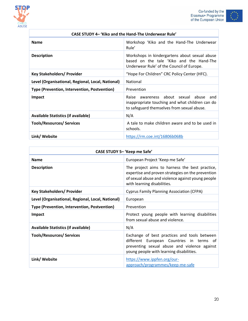

Г



| CASE STUDY 4– 'Kiko and the Hand-The Underwear Rule' |                                                                                                                                               |
|------------------------------------------------------|-----------------------------------------------------------------------------------------------------------------------------------------------|
| <b>Name</b>                                          | Workshop 'Kiko and the Hand-The Underwear<br>Rule'                                                                                            |
| <b>Description</b>                                   | Workshops in kindergartens about sexual abuse<br>based on the tale 'Kiko and the Hand-The<br>Underwear Rule' of the Council of Europe.        |
| <b>Key Stakeholders/ Provider</b>                    | "Hope For Children" CRC Policy Center (HFC).                                                                                                  |
| Level (Organisational, Regional, Local, National)    | National                                                                                                                                      |
| Type (Prevention, Intervention, Postvention)         | Prevention                                                                                                                                    |
| Impact                                               | awareness about sexual abuse<br>Raise<br>and<br>inappropriate touching and what children can do<br>to safeguard themselves from sexual abuse. |
| <b>Available Statistics (if available)</b>           | N/A                                                                                                                                           |
| <b>Tools/Resources/ Services</b>                     | A tale to make children aware and to be used in<br>schools.                                                                                   |
| Link/ Website                                        | https://rm.coe.int/16806b068b                                                                                                                 |

| CASE STUDY 5- 'Keep me Safe'                      |                                                                                                                                                                                         |
|---------------------------------------------------|-----------------------------------------------------------------------------------------------------------------------------------------------------------------------------------------|
| <b>Name</b>                                       | European Project 'Keep me Safe'                                                                                                                                                         |
| <b>Description</b>                                | The project aims to harness the best practice,<br>expertise and proven strategies on the prevention<br>of sexual abuse and violence against young people<br>with learning disabilities. |
| <b>Key Stakeholders/ Provider</b>                 | <b>Cyprus Family Planning Association (CFPA)</b>                                                                                                                                        |
| Level (Organisational, Regional, Local, National) | European                                                                                                                                                                                |
| Type (Prevention, Intervention, Postvention)      | Prevention                                                                                                                                                                              |
| Impact                                            | Protect young people with learning disabilities<br>from sexual abuse and violence.                                                                                                      |
| <b>Available Statistics (if available)</b>        | N/A                                                                                                                                                                                     |
| <b>Tools/Resources/ Services</b>                  | Exchange of best practices and tools between<br>different European Countries in terms of<br>preventing sexual abuse and violence against<br>young people with learning disabilities.    |
| Link/ Website                                     | https://www.ippfen.org/our-<br>approach/programmes/keep-me-safe                                                                                                                         |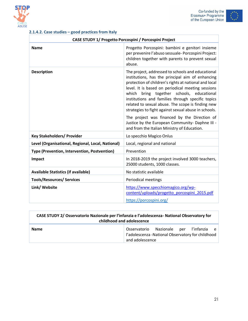





### **2.1.4.2. Case studies – good practices from Italy**

| <b>CASE STUDY 1/ Progetto Porcospini / Porcospini Project</b> |                                                                                                                                                                                                                                                                                                                                                                                                                                                                                    |
|---------------------------------------------------------------|------------------------------------------------------------------------------------------------------------------------------------------------------------------------------------------------------------------------------------------------------------------------------------------------------------------------------------------------------------------------------------------------------------------------------------------------------------------------------------|
| <b>Name</b>                                                   | Progetto Porcospini: bambini e genitori insieme<br>per prevenire l'abuso sessuale- Porcospini Project:<br>children together with parents to prevent sexual<br>abuse.                                                                                                                                                                                                                                                                                                               |
| <b>Description</b>                                            | The project, addressed to schools and educational<br>institutions, has the principal aim of enhancing<br>protection of children's rights at national and local<br>level. It is based on periodical meeting sessions<br>which bring together schools, educational<br>institutions and families through specific topics<br>related to sexual abuse. The scope is finding new<br>strategies to fight against sexual abuse in schools.<br>The project was financed by the Direction of |
|                                                               | Justice by the European Community- Daphne III -<br>and from the Italian Ministry of Education.                                                                                                                                                                                                                                                                                                                                                                                     |
| <b>Key Stakeholders/ Provider</b>                             | Lo specchio Magico Onlus                                                                                                                                                                                                                                                                                                                                                                                                                                                           |
| Level (Organisational, Regional, Local, National)             | Local, regional and national                                                                                                                                                                                                                                                                                                                                                                                                                                                       |
| Type (Prevention, Intervention, Postvention)                  | Prevention                                                                                                                                                                                                                                                                                                                                                                                                                                                                         |
| Impact                                                        | In 2018-2019 the project involved 3000 teachers,<br>25000 students, 1000 classes.                                                                                                                                                                                                                                                                                                                                                                                                  |
| <b>Available Statistics (if available)</b>                    | No statistic available                                                                                                                                                                                                                                                                                                                                                                                                                                                             |
| <b>Tools/Resources/ Services</b>                              | <b>Periodical meetings</b>                                                                                                                                                                                                                                                                                                                                                                                                                                                         |
| Link/ Website                                                 | https://www.specchiomagico.org/wp-<br>content/uploads/progetto_porcospini_2015.pdf<br>https://porcospini.org/                                                                                                                                                                                                                                                                                                                                                                      |

| CASE STUDY 2/ Osservatorio Nazionale per l'infanzia e l'adolescenza-National Observatory for<br>childhood and adolescence |                                                                                                                      |
|---------------------------------------------------------------------------------------------------------------------------|----------------------------------------------------------------------------------------------------------------------|
| <b>Name</b>                                                                                                               | Osservatorio Nazionale per l'infanzia<br>e –<br>l'adolescenza -National Observatory for childhood<br>and adolescence |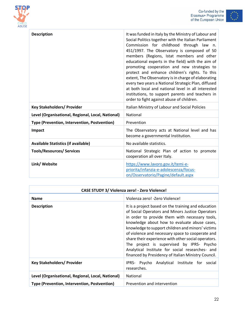



| <b>Description</b>                                | It was funded in Italy by the Ministry of Labour and<br>Social Politics together with the Italian Parliament<br>Commission for childhood through law n.<br>451/1997. The Observatory is composed of 50<br>members (Regions, Istat members and other<br>educational experts in the field) with the aim of<br>promoting cooperation and new strategies to<br>protect and enhance children's rights. To this<br>extent, The Observatory is in charge of elaborating<br>every two years a National Strategic Plan, diffused<br>at both local and national level in all interested<br>institutions, to support parents and teachers in<br>order to fight against abuse of children. |
|---------------------------------------------------|--------------------------------------------------------------------------------------------------------------------------------------------------------------------------------------------------------------------------------------------------------------------------------------------------------------------------------------------------------------------------------------------------------------------------------------------------------------------------------------------------------------------------------------------------------------------------------------------------------------------------------------------------------------------------------|
| <b>Key Stakeholders/ Provider</b>                 | Italian Ministry of Labour and Social Policies                                                                                                                                                                                                                                                                                                                                                                                                                                                                                                                                                                                                                                 |
| Level (Organisational, Regional, Local, National) | National                                                                                                                                                                                                                                                                                                                                                                                                                                                                                                                                                                                                                                                                       |
| Type (Prevention, Intervention, Postvention)      | Prevention                                                                                                                                                                                                                                                                                                                                                                                                                                                                                                                                                                                                                                                                     |
| <b>Impact</b>                                     | The Observatory acts at National level and has<br>become a governmental Institution.                                                                                                                                                                                                                                                                                                                                                                                                                                                                                                                                                                                           |
| <b>Available Statistics (if available)</b>        | No available statistics.                                                                                                                                                                                                                                                                                                                                                                                                                                                                                                                                                                                                                                                       |
| <b>Tools/Resources/ Services</b>                  | National Strategic Plan of action to promote<br>cooperation all over Italy.                                                                                                                                                                                                                                                                                                                                                                                                                                                                                                                                                                                                    |
| Link/ Website                                     | https://www.lavoro.gov.it/temi-e-<br>priorita/infanzia-e-adolescenza/focus-<br>on/Osservatorio/Pagine/default.aspx                                                                                                                                                                                                                                                                                                                                                                                                                                                                                                                                                             |

| <b>CASE STUDY 3/ Violenza zero! - Zero Violence!</b> |                                                                                                                                                                                                                                                                                                                                                                                                                                                                                                                                  |
|------------------------------------------------------|----------------------------------------------------------------------------------------------------------------------------------------------------------------------------------------------------------------------------------------------------------------------------------------------------------------------------------------------------------------------------------------------------------------------------------------------------------------------------------------------------------------------------------|
| <b>Name</b>                                          | Violenza zero! - Zero Violence!                                                                                                                                                                                                                                                                                                                                                                                                                                                                                                  |
| <b>Description</b>                                   | It is a project based on the training and education<br>of Social Operators and Minors Justice Operators<br>in order to provide them with necessary tools,<br>knowledge about how to evaluate abuse cases,<br>knowledge to support children and minors' victims<br>of violence and necessary space to cooperate and<br>share their experience with other social operators.<br>The project is supervised by IPRS- Psycho<br>Analytical Institute for social researches- and<br>financed by Presidency of Italian Ministry Council. |
| <b>Key Stakeholders/ Provider</b>                    | IPRS- Psycho Analytical Institute for social<br>researches.                                                                                                                                                                                                                                                                                                                                                                                                                                                                      |
| Level (Organisational, Regional, Local, National)    | National                                                                                                                                                                                                                                                                                                                                                                                                                                                                                                                         |
| Type (Prevention, Intervention, Postvention)         | Prevention and intervention                                                                                                                                                                                                                                                                                                                                                                                                                                                                                                      |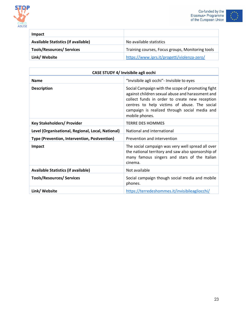



| Impact                                     |                                                  |
|--------------------------------------------|--------------------------------------------------|
| <b>Available Statistics (if available)</b> | No available statistics                          |
| <b>Tools/Resources/ Services</b>           | Training courses, Focus groups, Monitoring tools |
| Link/ Website                              | https://www.iprs.it/progetti/violenza-zero/      |

| CASE STUDY 4/ Invisibile agli occhi               |                                                                                                                                                                                                                                                                            |
|---------------------------------------------------|----------------------------------------------------------------------------------------------------------------------------------------------------------------------------------------------------------------------------------------------------------------------------|
| <b>Name</b>                                       | "Invisibile agli occhi"- Invisible to eyes                                                                                                                                                                                                                                 |
| <b>Description</b>                                | Social Campaign with the scope of promoting fight<br>against children sexual abuse and harassment and<br>collect funds in order to create new reception<br>centres to help victims of abuse. The social<br>campaign is realized through social media and<br>mobile phones. |
| <b>Key Stakeholders/ Provider</b>                 | <b>TERRE DES HOMMES</b>                                                                                                                                                                                                                                                    |
| Level (Organisational, Regional, Local, National) | National and international                                                                                                                                                                                                                                                 |
| Type (Prevention, Intervention, Postvention)      | Prevention and intervention                                                                                                                                                                                                                                                |
| Impact                                            | The social campaign was very well spread all over<br>the national territory and saw also sponsorship of<br>many famous singers and stars of the Italian<br>cinema.                                                                                                         |
| <b>Available Statistics (if available)</b>        | Not available                                                                                                                                                                                                                                                              |
| <b>Tools/Resources/ Services</b>                  | Social campaign though social media and mobile<br>phones.                                                                                                                                                                                                                  |
| Link/ Website                                     | https://terredeshommes.it/invisibileagliocchi/                                                                                                                                                                                                                             |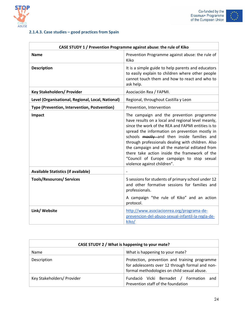





### **2.1.4.3. Case studies – good practices from Spain**

| CASE STUDY 1 / Prevention Programme against abuse: the rule of Kiko |                                                                                                                                                                                                                                                                                                                                                                                                                                                                                              |
|---------------------------------------------------------------------|----------------------------------------------------------------------------------------------------------------------------------------------------------------------------------------------------------------------------------------------------------------------------------------------------------------------------------------------------------------------------------------------------------------------------------------------------------------------------------------------|
| <b>Name</b>                                                         | Prevention Programme against abuse: the rule of<br>Kiko                                                                                                                                                                                                                                                                                                                                                                                                                                      |
| <b>Description</b>                                                  | It is a simple guide to help parents and educators<br>to easily explain to children where other people<br>cannot touch them and how to react and who to<br>ask help.                                                                                                                                                                                                                                                                                                                         |
| <b>Key Stakeholders/ Provider</b>                                   | Asociación Rea / FAPMI.                                                                                                                                                                                                                                                                                                                                                                                                                                                                      |
| Level (Organisational, Regional, Local, National)                   | Regional, throughout Castilla y Leon                                                                                                                                                                                                                                                                                                                                                                                                                                                         |
| Type (Prevention, Intervention, Postvention)                        | Prevention, Intervention                                                                                                                                                                                                                                                                                                                                                                                                                                                                     |
| Impact                                                              | The campaign and the prevention programme<br>have results on a local and regional level meanly,<br>since the work of the REA and FAPMI entities is to<br>spread the information on prevention mostly in<br>schools mostly and then inside families and<br>through professionals dealing with children. Also<br>the campaign and all the material editated from<br>there take action inside the framework of the<br>"Council of Europe campaign to stop sexual<br>violence against children". |
| <b>Available Statistics (if available)</b>                          |                                                                                                                                                                                                                                                                                                                                                                                                                                                                                              |
| <b>Tools/Resources/ Services</b>                                    | 5 sessions for students of primary school under 12<br>and other formative sessions for families and<br>professionals.                                                                                                                                                                                                                                                                                                                                                                        |
|                                                                     | A campaign "the rule of Kiko" and an action<br>protocol.                                                                                                                                                                                                                                                                                                                                                                                                                                     |
| Link/ Website                                                       | http://www.asociacionrea.org/programa-de-<br>prevencion-del-abuso-sexual-infantil-la-regla-de-<br>kiko/                                                                                                                                                                                                                                                                                                                                                                                      |

| CASE STUDY 2 / What is happening to your mate? |                                                                                                                                                 |
|------------------------------------------------|-------------------------------------------------------------------------------------------------------------------------------------------------|
| <b>Name</b>                                    | What is happening to your mate?                                                                                                                 |
| Description                                    | Protection, prevention and training programme<br>for adolescents over 12 through formal and non-<br>formal methodologies on child sexual abuse. |
| Key Stakeholders/ Provider                     | Fundació Vicki Bernadet / Formation<br>and<br>Prevention staff of the foundation                                                                |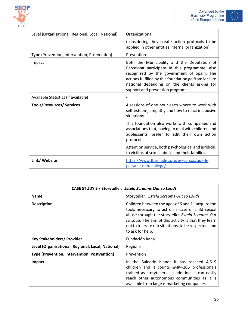

 $\overline{\phantom{0}}$ 



| Level (Organisational, Regional, Local, National) | Organizational                                                                                                                                                                                                                                                                          |
|---------------------------------------------------|-----------------------------------------------------------------------------------------------------------------------------------------------------------------------------------------------------------------------------------------------------------------------------------------|
|                                                   | (considering they create action protocols to be<br>applied in other entities internal organization)                                                                                                                                                                                     |
| Type (Prevention, Intervention, Postvention)      | Prevention                                                                                                                                                                                                                                                                              |
| Impact                                            | Both the Municipality and the Deputation of<br>Barcelona participate in this programme, also<br>recognized by the government of Spain. The<br>actions fulfilled by this foundation go from local to<br>national depending on the clients asking for<br>support and prevention programs. |
| Available Statistics (if available)               | $\overline{\phantom{a}}$                                                                                                                                                                                                                                                                |
| <b>Tools/Resources/ Services</b>                  | 4 sessions of one hour each where to work with<br>self-esteem, empathy and how to react in abusive<br>situations.                                                                                                                                                                       |
|                                                   | This foundation also works with companies and<br>associations that, having to deal with children and<br>adolescents, prefer to edit their own action<br>protocol.                                                                                                                       |
|                                                   | Attention service, both psychological and juridical,<br>to victims of sexual abuse and their families.                                                                                                                                                                                  |
| Link/ Website                                     | https://www.fbernadet.org/es/cursos/que-li-<br>passa-al-meu-collega/                                                                                                                                                                                                                    |

| CASE STUDY 3 / Storyteller: Estela Screams Out so Loud! |                                                                                                                                                                                                                                                                                                |
|---------------------------------------------------------|------------------------------------------------------------------------------------------------------------------------------------------------------------------------------------------------------------------------------------------------------------------------------------------------|
| <b>Name</b>                                             | Storyteller: Estela Screams Out so Loud!                                                                                                                                                                                                                                                       |
| <b>Description</b>                                      | Children between the ages of 6 and 11 acquire the<br>tools necessary to act on a case of child sexual<br>abuse through the storyteller Estela Screams Out<br>so Loud! The aim of this activity is that they learn<br>not to tolerate risk situations, to be respected, and<br>to ask for help. |
| <b>Key Stakeholders/ Provider</b>                       | Fundación Rana                                                                                                                                                                                                                                                                                 |
| Level (Organisational, Regional, Local, National)       | Regional                                                                                                                                                                                                                                                                                       |
| Type (Prevention, Intervention, Postvention)            | Prevention                                                                                                                                                                                                                                                                                     |
| <b>Impact</b>                                           | In the Balearic Islands it has reached 4,619<br>children and it counts with 206 professionals<br>trained as storytellers. In addition, it can easily<br>reach other autonomous communities as it is<br>available from large e-marketing companies.                                             |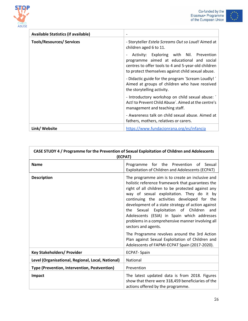





| <b>Available Statistics (if available)</b> | $\overline{\phantom{a}}$                                                                                                                                                                          |
|--------------------------------------------|---------------------------------------------------------------------------------------------------------------------------------------------------------------------------------------------------|
| <b>Tools/Resources/ Services</b>           | - Storyteller Estela Screams Out so Loud! Aimed at<br>children aged 6 to 11.                                                                                                                      |
|                                            | Activity: Exploring with Nil. Prevention<br>programme aimed at educational and social<br>centres to offer tools to 4 and 5-year-old children<br>to protect themselves against child sexual abuse. |
|                                            | - Didactic guide for the program 'Scream Loudly!'<br>Aimed at groups of children who have received<br>the storytelling activity.                                                                  |
|                                            | - Introductory workshop on child sexual abuse: '<br>Act! to Prevent Child Abuse'. Aimed at the centre's<br>management and teaching staff.                                                         |
|                                            | - Awareness talk on child sexual abuse. Aimed at<br>fathers, mothers, relatives or carers.                                                                                                        |
| Link/ Website                              | https://www.fundacionrana.org/es/infancia                                                                                                                                                         |

| CASE STUDY 4 / Programme for the Prevention of Sexual Exploitation of Children and Adolescents<br>(ECPAT) |                                                                                                                                                                                                                                                                                                                                                                                                                                                                                   |
|-----------------------------------------------------------------------------------------------------------|-----------------------------------------------------------------------------------------------------------------------------------------------------------------------------------------------------------------------------------------------------------------------------------------------------------------------------------------------------------------------------------------------------------------------------------------------------------------------------------|
| <b>Name</b>                                                                                               | Programme for the Prevention of Sexual<br>Exploitation of Children and Adolescents (ECPAT)                                                                                                                                                                                                                                                                                                                                                                                        |
| <b>Description</b>                                                                                        | The programme aim is to create an inclusive and<br>holistic reference framework that guarantees the<br>right of all children to be protected against any<br>way of sexual exploitation. They do it by<br>continuing the activities developed for the<br>development of a state strategy of action against<br>the Sexual Exploitation of Children<br>and<br>Adolescents (ESIA) in Spain which addresses<br>problems in a comprehensive manner involving all<br>sectors and agents. |
|                                                                                                           | The Programme revolves around the 3rd Action<br>Plan against Sexual Exploitation of Children and<br>Adolescents of FAPMI-ECPAT Spain (2017-2020).                                                                                                                                                                                                                                                                                                                                 |
| <b>Key Stakeholders/ Provider</b>                                                                         | <b>ECPAT-Spain</b>                                                                                                                                                                                                                                                                                                                                                                                                                                                                |
| Level (Organisational, Regional, Local, National)                                                         | National                                                                                                                                                                                                                                                                                                                                                                                                                                                                          |
| Type (Prevention, Intervention, Postvention)                                                              | Prevention                                                                                                                                                                                                                                                                                                                                                                                                                                                                        |
| Impact                                                                                                    | The latest updated data is from 2018. Figures<br>show that there were 318,459 beneficiaries of the<br>actions offered by the programme.                                                                                                                                                                                                                                                                                                                                           |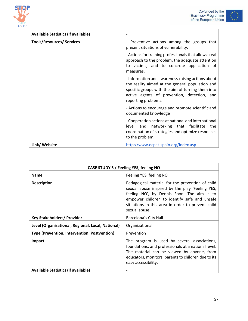





| <b>Available Statistics (if available)</b> | $\overline{\phantom{a}}$                                                                                                                                                                                                        |
|--------------------------------------------|---------------------------------------------------------------------------------------------------------------------------------------------------------------------------------------------------------------------------------|
| <b>Tools/Resources/ Services</b>           | - Preventive actions among the groups that<br>present situations of vulnerability.                                                                                                                                              |
|                                            | - Actions for training professionals that allow a real<br>approach to the problem, the adequate attention<br>to victims, and to concrete application of<br>measures.                                                            |
|                                            | - Information and awareness-raising actions about<br>the reality aimed at the general population and<br>specific groups with the aim of turning them into<br>active agents of prevention, detection, and<br>reporting problems. |
|                                            | - Actions to encourage and promote scientific and<br>documented knowledge                                                                                                                                                       |
|                                            | - Cooperation actions at national and international<br>level and<br>networking that facilitate<br>the<br>coordination of strategies and optimize responses<br>to the problem.                                                   |
| Link/ Website                              | http://www.ecpat-spain.org/index.asp                                                                                                                                                                                            |

| CASE STUDY 5 / Feeling YES, feeling NO            |                                                                                                                                                                                                                                                                         |
|---------------------------------------------------|-------------------------------------------------------------------------------------------------------------------------------------------------------------------------------------------------------------------------------------------------------------------------|
| <b>Name</b>                                       | Feeling YES, feeling NO                                                                                                                                                                                                                                                 |
| <b>Description</b>                                | Pedagogical material for the prevention of child<br>sexual abuse inspired by the play 'Feeling YES,<br>feeling NO', by Dennis Foon. The aim is to<br>empower children to identify safe and unsafe<br>situations in this area in order to prevent child<br>sexual abuse. |
| <b>Key Stakeholders/ Provider</b>                 | Barcelona's City Hall                                                                                                                                                                                                                                                   |
| Level (Organisational, Regional, Local, National) | Organizational                                                                                                                                                                                                                                                          |
| Type (Prevention, Intervention, Postvention)      | Prevention                                                                                                                                                                                                                                                              |
| <b>Impact</b>                                     | The program is used by several associations,<br>foundations, and professionals at a national level.<br>The material can be viewed by anyone, from<br>educators, monitors, parents to children due to its<br>easy accessibility.                                         |
| <b>Available Statistics (if available)</b>        | $\overline{\phantom{a}}$                                                                                                                                                                                                                                                |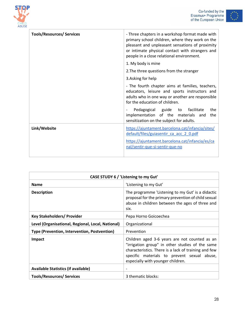



| <b>Tools/Resources/ Services</b> | - Three chapters in a workshop format made with<br>primary school children, where they work on the<br>pleasant and unpleasant sensations of proximity<br>or intimate physical contact with strangers and<br>people in a close relational environment. |
|----------------------------------|-------------------------------------------------------------------------------------------------------------------------------------------------------------------------------------------------------------------------------------------------------|
|                                  | 1. My body is mine                                                                                                                                                                                                                                    |
|                                  | 2. The three questions from the stranger                                                                                                                                                                                                              |
|                                  | 3. Asking for help                                                                                                                                                                                                                                    |
|                                  | - The fourth chapter aims at families, teachers,<br>educators, leisure and sports instructors and<br>adults who in one way or another are responsible<br>for the education of children.                                                               |
|                                  | Pedagogical guide to facilitate<br>the<br>implementation of the materials and<br>the<br>sensitization on the subject for adults.                                                                                                                      |
| Link/Website                     | https://ajuntament.barcelona.cat/infancia/sites/<br>default/files/guiasentir ca acc 2 0.pdf                                                                                                                                                           |
|                                  | https://ajuntament.barcelona.cat/infancia/es/ca<br>nal/sentir-que-si-sentir-que-no                                                                                                                                                                    |

| CASE STUDY 6 / 'Listening to my Gut'              |                                                                                                                                                                                                                                              |
|---------------------------------------------------|----------------------------------------------------------------------------------------------------------------------------------------------------------------------------------------------------------------------------------------------|
| <b>Name</b>                                       | 'Listening to my Gut'                                                                                                                                                                                                                        |
| <b>Description</b>                                | The programme 'Listening to my Gut' is a didactic<br>proposal for the primary prevention of child sexual<br>abuse in children between the ages of three and<br>six.                                                                          |
| <b>Key Stakeholders/ Provider</b>                 | Pepa Horno Goicoechea                                                                                                                                                                                                                        |
| Level (Organisational, Regional, Local, National) | Organizational                                                                                                                                                                                                                               |
| Type (Prevention, Intervention, Postvention)      | Prevention                                                                                                                                                                                                                                   |
| Impact                                            | Children aged 3-6 years are not counted as an<br>"irrigation group" in other studies of the same<br>characteristics. There is a lack of training and few<br>specific materials to prevent sexual abuse,<br>especially with younger children. |
| <b>Available Statistics (if available)</b>        | ٠                                                                                                                                                                                                                                            |
| <b>Tools/Resources/ Services</b>                  | 3 thematic blocks:                                                                                                                                                                                                                           |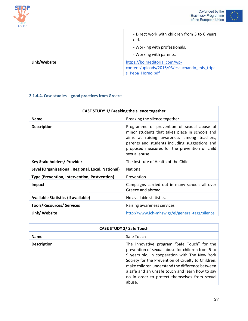



|              | - Direct work with children from 3 to 6 years<br>old.<br>- Working with professionals.             |
|--------------|----------------------------------------------------------------------------------------------------|
|              | - Working with parents.                                                                            |
| Link/Website | https://boiraeditorial.com/wp-<br>content/uploads/2016/03/escuchando mis tripa<br>s Pepa Horno.pdf |

#### **2.1.4.4. Case studies – good practices from Greece**

| CASE STUDY 1/ Breaking the silence together       |                                                                                                                                                                                                                                                               |
|---------------------------------------------------|---------------------------------------------------------------------------------------------------------------------------------------------------------------------------------------------------------------------------------------------------------------|
| <b>Name</b>                                       | Breaking the silence together                                                                                                                                                                                                                                 |
| <b>Description</b>                                | Programme of prevention of sexual abuse of<br>minor students that takes place in schools and<br>aims at raising awareness among teachers,<br>parents and students including suggestions and<br>proposed measures for the prevention of child<br>sexual abuse. |
| <b>Key Stakeholders/ Provider</b>                 | The Institute of Health of the Child                                                                                                                                                                                                                          |
| Level (Organisational, Regional, Local, National) | National                                                                                                                                                                                                                                                      |
| Type (Prevention, Intervention, Postvention)      | Prevention                                                                                                                                                                                                                                                    |
| <b>Impact</b>                                     | Campaigns carried out in many schools all over<br>Greece and abroad.                                                                                                                                                                                          |
| <b>Available Statistics (if available)</b>        | No available statistics.                                                                                                                                                                                                                                      |
| <b>Tools/Resources/ Services</b>                  | Raising awareness services.                                                                                                                                                                                                                                   |
| Link/ Website                                     | http://www.ich-mhsw.gr/el/general-tags/silence                                                                                                                                                                                                                |

| <b>CASE STUDY 2/ Safe Touch</b> |                                                                                                                                                                                                                                                                                                                                                                          |
|---------------------------------|--------------------------------------------------------------------------------------------------------------------------------------------------------------------------------------------------------------------------------------------------------------------------------------------------------------------------------------------------------------------------|
| <b>Name</b>                     | Safe Touch                                                                                                                                                                                                                                                                                                                                                               |
| <b>Description</b>              | The innovative program "Safe Touch" for the<br>prevention of sexual abuse for children from 5 to<br>9 years old, in cooperation with The New York<br>Society for the Prevention of Cruelty to Children,<br>make children understand the difference between<br>a safe and an unsafe touch and learn how to say<br>no in order to protect themselves from sexual<br>abuse. |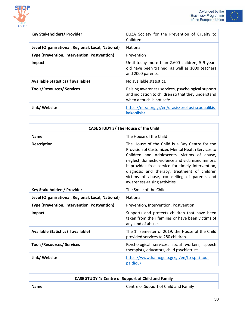





| <b>Key Stakeholders/ Provider</b>                 | ELIZA Society for the Prevention of Cruelty to<br>Children                                                                           |
|---------------------------------------------------|--------------------------------------------------------------------------------------------------------------------------------------|
| Level (Organisational, Regional, Local, National) | National                                                                                                                             |
| Type (Prevention, Intervention, Postvention)      | Prevention                                                                                                                           |
| <b>Impact</b>                                     | Until today more than 2.600 children, 5-9 years<br>old have been trained, as well as 1000 teachers<br>and 2000 parents.              |
| <b>Available Statistics (if available)</b>        | No available statistics.                                                                                                             |
| <b>Tools/Resources/ Services</b>                  | Raising awareness services, psychological support<br>and indication to children so that they understand<br>when a touch is not safe. |
| Link/ Website                                     | https://eliza.org.gr/en/drasis/prolipsi-sexoualikis-<br>kakopiisis/                                                                  |

| <b>CASE STUDY 3/ The House of the Child</b>       |                                                                                                                                                                                                                                                                                                                                                                                               |
|---------------------------------------------------|-----------------------------------------------------------------------------------------------------------------------------------------------------------------------------------------------------------------------------------------------------------------------------------------------------------------------------------------------------------------------------------------------|
| <b>Name</b>                                       | The House of the Child                                                                                                                                                                                                                                                                                                                                                                        |
| <b>Description</b>                                | The House of the Child is a Day Centre for the<br>Provision of Customized Mental Health Services to<br>Children and Adolescents, victims of abuse,<br>neglect, domestic violence and victimized minors.<br>It provides free service for timely intervention,<br>diagnosis and therapy, treatment of children<br>victims of abuse, counselling of parents and<br>awareness-raising activities. |
| <b>Key Stakeholders/ Provider</b>                 | The Smile of the Child                                                                                                                                                                                                                                                                                                                                                                        |
| Level (Organisational, Regional, Local, National) | National                                                                                                                                                                                                                                                                                                                                                                                      |
| Type (Prevention, Intervention, Postvention)      | Prevention, Intervention, Postvention                                                                                                                                                                                                                                                                                                                                                         |
| Impact                                            | Supports and protects children that have been<br>taken from their families or have been victims of<br>any kind of abuse.                                                                                                                                                                                                                                                                      |
| <b>Available Statistics (if available)</b>        | The 1 <sup>st</sup> semester of 2019, the House of the Child<br>provided services to 280 children.                                                                                                                                                                                                                                                                                            |
| <b>Tools/Resources/ Services</b>                  | Psychological services, social workers, speech<br>therapists, educators, child psychiatrists.                                                                                                                                                                                                                                                                                                 |
| Link/ Website                                     | https://www.hamogelo.gr/gr/en/to-spiti-tou-<br>paidiou/                                                                                                                                                                                                                                                                                                                                       |

| <b>CASE STUDY 4/ Centre of Support of Child and Family</b> |                                       |
|------------------------------------------------------------|---------------------------------------|
| <b>Name</b>                                                | Centre of Support of Child and Family |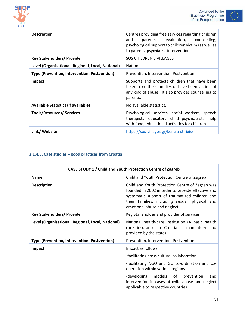



| <b>Description</b>                                | Centres providing free services regarding children<br>parents' evaluation, counselling,<br>and<br>psychological support to children victims as well as<br>to parents, psychiatric intervention. |
|---------------------------------------------------|-------------------------------------------------------------------------------------------------------------------------------------------------------------------------------------------------|
| <b>Key Stakeholders/ Provider</b>                 | <b>SOS CHILDREN'S VILLAGES</b>                                                                                                                                                                  |
| Level (Organisational, Regional, Local, National) | National                                                                                                                                                                                        |
| Type (Prevention, Intervention, Postvention)      | Prevention, Intervention, Postvention                                                                                                                                                           |
| <b>Impact</b>                                     | Supports and protects children that have been<br>taken from their families or have been victims of<br>any kind of abuse. It also provides counselling to<br>parents.                            |
| <b>Available Statistics (if available)</b>        | No available statistics.                                                                                                                                                                        |
| <b>Tools/Resources/ Services</b>                  | Psychological services, social workers, speech<br>therapists, educators, child psychiatrists, help<br>with food, educational activities for children.                                           |
| Link/ Website                                     | https://sos-villages.gr/kentra-stirixis/                                                                                                                                                        |

#### **2.1.4.5. Case studies – good practices from Croatia**

| CASE STUDY 1 / Child and Youth Protection Centre of Zagreb |                                                                                                                                                                                                                                                                                                |
|------------------------------------------------------------|------------------------------------------------------------------------------------------------------------------------------------------------------------------------------------------------------------------------------------------------------------------------------------------------|
| <b>Name</b>                                                | Child and Youth Protection Centre of Zagreb                                                                                                                                                                                                                                                    |
| <b>Description</b>                                         | Child and Youth Protection Centre of Zagreb was<br>founded in 2002 in order to provide effective and<br>systematic support of traumatized children and<br>their families, including sexual, physical and<br>emotional abuse and neglect.                                                       |
| <b>Key Stakeholders/ Provider</b>                          | Key Stakeholder and provider of services                                                                                                                                                                                                                                                       |
| Level (Organisational, Regional, Local, National)          | National health-care institution (A basic health<br>care insurance in Croatia is mandatory and<br>provided by the state)                                                                                                                                                                       |
| Type (Prevention, Intervention, Postvention)               | Prevention, Intervention, Postvention                                                                                                                                                                                                                                                          |
| Impact                                                     | Impact as follows:<br>-facilitating cross cultural collaboration<br>-facilitating NGO and GO co-ordination and co-<br>operation within various regions<br>-developing models of<br>prevention<br>and<br>intervention in cases of child abuse and neglect<br>applicable to respective countries |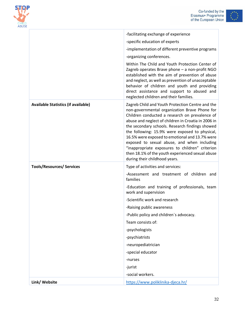



| CHILD<br><b>ABUSE</b> |
|-----------------------|

|                                            | -facilitating exchange of experience                                                                                                                                                                                                                                                                                                                                                                                                                                                                                                                     |
|--------------------------------------------|----------------------------------------------------------------------------------------------------------------------------------------------------------------------------------------------------------------------------------------------------------------------------------------------------------------------------------------------------------------------------------------------------------------------------------------------------------------------------------------------------------------------------------------------------------|
|                                            | -specific education of experts                                                                                                                                                                                                                                                                                                                                                                                                                                                                                                                           |
|                                            | -implementation of different preventive programs                                                                                                                                                                                                                                                                                                                                                                                                                                                                                                         |
|                                            | -organizing conferences.                                                                                                                                                                                                                                                                                                                                                                                                                                                                                                                                 |
|                                            | Within The Child and Youth Protection Center of<br>Zagreb operates Brave phone - a non-profit NGO<br>established with the aim of prevention of abuse<br>and neglect, as well as prevention of unacceptable<br>behavior of children and youth and providing<br>direct assistance and support to abused and<br>neglected children and their families.                                                                                                                                                                                                      |
| <b>Available Statistics (if available)</b> | Zagreb Child and Youth Protection Centre and the<br>non-governmental organization Brave Phone for<br>Children conducted a research on prevalence of<br>abuse and neglect of children in Croatia in 2006 in<br>the secondary schools. Research findings showed<br>the following: 15.9% were exposed to physical,<br>16.5% were exposed to emotional and 13.7% were<br>exposed to sexual abuse, and when including<br>"inappropriate exposures to children" criterion<br>then 18.1% of the youth experienced sexual abuse<br>during their childhood years. |
| <b>Tools/Resources/ Services</b>           | Type of activities and services:                                                                                                                                                                                                                                                                                                                                                                                                                                                                                                                         |
|                                            | -Assessment and treatment of children and<br>families                                                                                                                                                                                                                                                                                                                                                                                                                                                                                                    |
|                                            | -Education and training of professionals, team<br>work and supervision                                                                                                                                                                                                                                                                                                                                                                                                                                                                                   |
|                                            | -Scientific work and research                                                                                                                                                                                                                                                                                                                                                                                                                                                                                                                            |
|                                            | -Raising public awareness                                                                                                                                                                                                                                                                                                                                                                                                                                                                                                                                |
|                                            | -Public policy and children's advocacy.                                                                                                                                                                                                                                                                                                                                                                                                                                                                                                                  |
|                                            | Team consists of:                                                                                                                                                                                                                                                                                                                                                                                                                                                                                                                                        |
|                                            | -psychologists                                                                                                                                                                                                                                                                                                                                                                                                                                                                                                                                           |
|                                            | -psychiatrists                                                                                                                                                                                                                                                                                                                                                                                                                                                                                                                                           |
|                                            | -neuropediatrician                                                                                                                                                                                                                                                                                                                                                                                                                                                                                                                                       |
|                                            | -special educator                                                                                                                                                                                                                                                                                                                                                                                                                                                                                                                                        |
|                                            | -nurses                                                                                                                                                                                                                                                                                                                                                                                                                                                                                                                                                  |
|                                            | -jurist                                                                                                                                                                                                                                                                                                                                                                                                                                                                                                                                                  |
|                                            | -social workers.                                                                                                                                                                                                                                                                                                                                                                                                                                                                                                                                         |
| Link/ Website                              | https://www.poliklinika-djeca.hr/                                                                                                                                                                                                                                                                                                                                                                                                                                                                                                                        |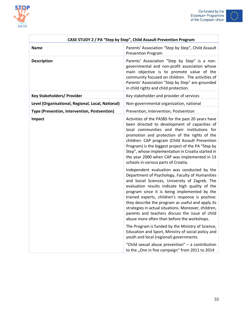



| $\cdot^{\star^{\star}\star}$ |        |
|------------------------------|--------|
|                              |        |
|                              | $*$ ** |
|                              |        |

| CASE STUDY 2 / PA "Step by Step", Child Assault Prevention Program |                                                                                                                                                                                                                                                                                                                                                                                                                                                                                                                                                                                                                                                                                                                                                                                      |
|--------------------------------------------------------------------|--------------------------------------------------------------------------------------------------------------------------------------------------------------------------------------------------------------------------------------------------------------------------------------------------------------------------------------------------------------------------------------------------------------------------------------------------------------------------------------------------------------------------------------------------------------------------------------------------------------------------------------------------------------------------------------------------------------------------------------------------------------------------------------|
| <b>Name</b>                                                        | Parents' Association "Step by Step", Child Assault<br><b>Prevention Program</b>                                                                                                                                                                                                                                                                                                                                                                                                                                                                                                                                                                                                                                                                                                      |
| <b>Description</b>                                                 | Parents' Association "Step by Step" is a non-<br>governmental and non-profit association whose<br>main objective is to promote value of the<br>community focused on children. The activities of<br>Parents' Association "Step by Step" are grounded<br>in child rights and child protection.                                                                                                                                                                                                                                                                                                                                                                                                                                                                                         |
| <b>Key Stakeholders/ Provider</b>                                  | Key stakeholder and provider of services                                                                                                                                                                                                                                                                                                                                                                                                                                                                                                                                                                                                                                                                                                                                             |
| Level (Organisational, Regional, Local, National)                  | Non-governmental organization, national                                                                                                                                                                                                                                                                                                                                                                                                                                                                                                                                                                                                                                                                                                                                              |
| Type (Prevention, Intervention, Postvention)                       | Prevention, Intervention, Postvention                                                                                                                                                                                                                                                                                                                                                                                                                                                                                                                                                                                                                                                                                                                                                |
| Impact                                                             | Activities of the PASBS for the past 20 years have<br>been directed to development of capacities of<br>local communities and their institutions for<br>promotion and protection of the rights of the<br>children. CAP program (Child Assault Prevention<br>Program) is the biggest project of the PA "Step by<br>Step", whose implementation in Croatia started in<br>the year 2000 when CAP was implemented in 13<br>schools in various parts of Croatia.                                                                                                                                                                                                                                                                                                                           |
|                                                                    | Independent evaluation was conducted by the<br>Department of Psychology, Faculty of Humanities<br>and Social Sciences, University of Zagreb. The<br>evaluation results indicate high quality of the<br>program since it is being implemented by the<br>trained experts, children's response is positive:<br>they describe the program as useful and apply its<br>strategies in actual situations. Moreover, children,<br>parents and teachers discuss the issue of child<br>abuse more often than before the workshops.<br>The Program is funded by the Ministry of Science,<br>Education and Sport, Ministry of social policy and<br>youth and local (regional) governments.<br>"Child sexual abuse prevention" - a contribution<br>to the "One in five campaign" from 2011 to 2014 |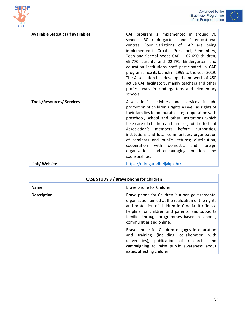



| <b>Available Statistics (if available)</b> | CAP program is implemented in around 70<br>schools, 30 kindergartens and 4 educational<br>centres. Four variations of CAP are being<br>implemented in Croatia: Preschool, Elementary,<br>Teen and Special needs CAP. 102.690 children,<br>69.770 parents and 22.791 kindergarten and<br>education institutions staff participated in CAP<br>program since its launch in 1999 to the year 2019.<br>The Association has developed a network of 450<br>active CAP facilitators, mainly teachers and other<br>professionals in kindergartens and elementary<br>schools. |
|--------------------------------------------|---------------------------------------------------------------------------------------------------------------------------------------------------------------------------------------------------------------------------------------------------------------------------------------------------------------------------------------------------------------------------------------------------------------------------------------------------------------------------------------------------------------------------------------------------------------------|
| <b>Tools/Resources/ Services</b>           | Association's activities and services include<br>promotion of children's rights as well as rights of<br>their families to honourable life; cooperation with<br>preschool, school and other institutions which<br>take care of children and families; joint efforts of<br>before<br>Association's<br>members<br>authorities,<br>institutions and local communities; organization<br>of seminars and public lectures; distribution;<br>cooperation with<br>domestic<br>foreign<br>and<br>organizations and encouraging donations and<br>sponsorships.                 |
| Link/ Website                              | https://udrugaroditeljakpk.hr/                                                                                                                                                                                                                                                                                                                                                                                                                                                                                                                                      |

| CASE STUDY 3 / Brave phone for Children |                                                                                                                                                                                                                                                                                            |
|-----------------------------------------|--------------------------------------------------------------------------------------------------------------------------------------------------------------------------------------------------------------------------------------------------------------------------------------------|
| <b>Name</b>                             | Brave phone for Children                                                                                                                                                                                                                                                                   |
| <b>Description</b>                      | Brave phone for Children is a non-governmental<br>organisation aimed at the realization of the rights<br>and protection of children in Croatia. It offers a<br>helpline for children and parents, and supports<br>families through programmes based in schools,<br>communities and online. |
|                                         | Brave phone for Children engages in education<br>training (including collaboration<br>with<br>and<br>universities), publication of research, and<br>campaigning to raise public awareness about<br>issues affecting children.                                                              |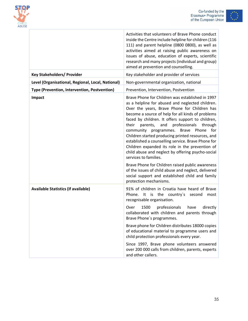

÷



|                                                   | Activities that volunteers of Brave Phone conduct<br>inside the Centre include helpline for children (116<br>111) and parent helpline (0800 0800), as well as<br>activities aimed at raising public awareness on<br>issues of abuse, education of experts, scientific<br>research and many projects (individual and group)<br>aimed at prevention and counselling.                                                                                                                                                                                                                                       |
|---------------------------------------------------|----------------------------------------------------------------------------------------------------------------------------------------------------------------------------------------------------------------------------------------------------------------------------------------------------------------------------------------------------------------------------------------------------------------------------------------------------------------------------------------------------------------------------------------------------------------------------------------------------------|
| <b>Key Stakeholders/ Provider</b>                 | Key stakeholder and provider of services                                                                                                                                                                                                                                                                                                                                                                                                                                                                                                                                                                 |
| Level (Organisational, Regional, Local, National) | Non-governmental organization, national                                                                                                                                                                                                                                                                                                                                                                                                                                                                                                                                                                  |
| Type (Prevention, Intervention, Postvention)      | Prevention, Intervention, Postvention                                                                                                                                                                                                                                                                                                                                                                                                                                                                                                                                                                    |
| Impact                                            | Brave Phone for Children was established in 1997<br>as a helpline for abused and neglected children.<br>Over the years, Brave Phone for Children has<br>become a source of help for all kinds of problems<br>faced by children. It offers support to children,<br>professionals through<br>their<br>parents,<br>and<br>community programmes. Brave Phone for<br>Children started producing printed resources, and<br>established a counselling service. Brave Phone for<br>Children expanded its role in the prevention of<br>child abuse and neglect by offering psycho-social<br>services to families. |
|                                                   | Brave Phone for Children raised public awareness<br>of the issues of child abuse and neglect, delivered<br>social support and established child and family<br>protection mechanisms.                                                                                                                                                                                                                                                                                                                                                                                                                     |
| <b>Available Statistics (if available)</b>        | 91% of children in Croatia have heard of Brave<br>Phone. It is the country's second<br>most<br>recognisable organisation.                                                                                                                                                                                                                                                                                                                                                                                                                                                                                |
|                                                   | 1500<br>professionals<br>have<br>directly<br>Over<br>collaborated with children and parents through<br>Brave Phone's programmes.                                                                                                                                                                                                                                                                                                                                                                                                                                                                         |
|                                                   | Brave phone for Children distributes 18000 copies<br>of educational material to programme users and<br>child protection professionals every year.                                                                                                                                                                                                                                                                                                                                                                                                                                                        |
|                                                   | Since 1997, Brave phone volunteers answered<br>over 200 000 calls from children, parents, experts<br>and other callers.                                                                                                                                                                                                                                                                                                                                                                                                                                                                                  |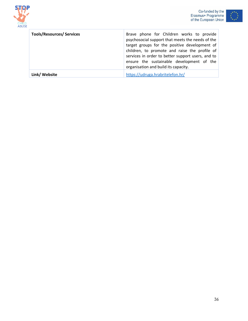



| <b>Tools/Resources/ Services</b> | Brave phone for Children works to provide<br>psychosocial support that meets the needs of the<br>target groups for the positive development of<br>children, to promote and raise the profile of<br>services in order to better support users, and to<br>ensure the sustainable development of the<br>organisation and build its capacity. |
|----------------------------------|-------------------------------------------------------------------------------------------------------------------------------------------------------------------------------------------------------------------------------------------------------------------------------------------------------------------------------------------|
| Link/ Website                    | https://udruga.hrabritelefon.hr/                                                                                                                                                                                                                                                                                                          |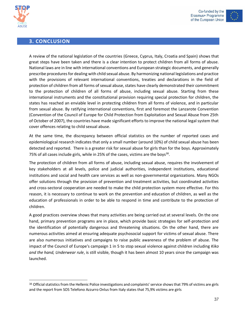



<span id="page-37-0"></span>

A review of the national legislation of the countries (Greece, Cyprus, Italy, Croatia and Spain) shows that great steps have been taken and there is a clear intention to protect children from all forms of abuse. National laws are in line with international conventions and European strategic documents, and generally prescribe procedures for dealing with child sexual abuse. By harmonizing national legislations and practice with the provisions of relevant international conventions, treaties and declarations in the field of protection of children from all forms of sexual abuse, states have clearly demonstrated their commitment to the protection of children of all forms of abuse, including sexual abuse. Starting from these international instruments and the constitutional provision requiring special protection for children, the states has reached an enviable level in protecting children from all forms of violence, and in particular from sexual abuse. By ratifying international conventions, first and foremost the Lanzarote Convention (Convention of the Council of Europe for Child Protection from Exploitation and Sexual Abuse from 25th of October of 2007), the countries have made significant efforts to improve the national legal system that cover offences relating to child sexual abuse.

At the same time, the discrepancy between official statistics on the number of reported cases and epidemiological research indicates that only a small number (around 10%) of child sexual abuse has been detected and reported. There is a greater risk for sexual abuse for girls than for the boys. Approximately 75% of all cases include girls, while in 25% of the cases, victims are the boys<sup>38</sup>.

The protection of children from all forms of abuse, including sexual abuse, requires the involvement of key stakeholders at all levels, police and judicial authorities, independent institutions, educational institutions and social and health care services as well as non-governmental organizations. Many NGOs offer solutions through the provision of prevention and treatment activities, but coordinated activities and cross-sectoral cooperation are needed to make the child protection system more effective. For this reason, it is necessary to continue to work on the prevention and education of children, as well as the education of professionals in order to be able to respond in time and contribute to the protection of children.

A good practices overview shows that many activities are being carried out at several levels. On the one hand, primary prevention programs are in place, which provide basic strategies for self-protection and the identification of potentially dangerous and threatening situations. On the other hand, there are numerous activities aimed at ensuring adequate psychosocial support for victims of sexual abuse. There are also numerous initiatives and campaigns to raise public awareness of the problem of abuse. The impact of the Council of Europe's campaign 1 in 5 to stop sexual violence against children including *Kiko and the hand, Underwear rule*, is still visible, though it has been almost 10 years since the campaign was launched.

<sup>38</sup> Official statistics from the Hellenic Police investigations and complaints' service shows that 79% of victims are girls and the report from SOS Telefono Azzurro Onlus from Italy states that 75,9% victims are girls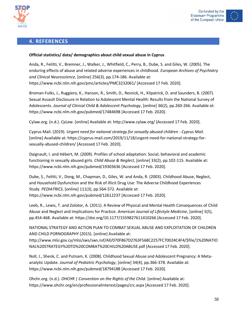



### <span id="page-38-0"></span>**4. REFERENCES**

#### **Official statistics/ data/ demographics about child sexual abuse in Cyprus**

Anda, R., Felitti, V., Bremner, J., Walker, J., Whitfield, C., Perry, B., Dube, S. and Giles, W. (2005). The enduring effects of abuse and related adverse experiences in childhood. *European Archives of Psychiatry and Clinical Neuroscience*, [online] 256(3), pp.174-186. Available at: https://www.ncbi.nlm.nih.gov/pmc/articles/PMC3232061/ [Accessed 17 Feb. 2020].

Broman-Fulks, J., Ruggiero, K., Hanson, R., Smith, D., Resnick, H., Kilpatrick, D. and Saunders, B. (2007). Sexual Assault Disclosure in Relation to Adolescent Mental Health: Results from the National Survey of Adolescents. *Journal of Clinical Child & Adolescent Psychology*, [online] 36(2), pp.260-266. Available at: https://www.ncbi.nlm.nih.gov/pubmed/17484698 [Accessed 17 Feb. 2020].

Cylaw.org. (n.d.). *CyLaw*. [online] Available at: http://www.cylaw.org/ [Accessed 17 Feb. 2020].

Cyprus Mail. (2019). *Urgent need for national strategy for sexually abused children - Cyprus Mail*. [online] Available at: https://cyprus-mail.com/2019/11/18/urgent-need-for-national-strategy-forsexually-abused-children/ [Accessed 17 Feb. 2020].

Daignault, I. and Hébert, M. (2009). Profiles of school adaptation: Social, behavioral and academic functioning in sexually abused girls. *Child Abuse & Neglect*, [online] 33(2), pp.102-115. Available at: https://www.ncbi.nlm.nih.gov/pubmed/19303636 [Accessed 17 Feb. 2020].

Dube, S., Felitti, V., Dong, M., Chapman, D., Giles, W. and Anda, R. (2003). Childhood Abuse, Neglect, and Household Dysfunction and the Risk of Illicit Drug Use: The Adverse Childhood Experiences Study. *PEDIATRICS*, [online] 111(3), pp.564-572. Available at: https://www.ncbi.nlm.nih.gov/pubmed/12612237 [Accessed 17 Feb. 2020].

Leeb, R., Lewis, T. and Zolotor, A. (2011). A Review of Physical and Mental Health Consequences of Child Abuse and Neglect and Implications for Practice. *American Journal of Lifestyle Medicine*, [online] 5(5), pp.454-468. Available at: https://doi.org/10.1177/1559827611410266 [Accessed 17 Feb. 2020].

NATIONAL STRATEGY AND ACTION PLAN TO COMBAT SEXUAL ABUSE AND EXPLOITATION OF CHILDREN AND CHILD PORNOGRAPHY (2015). [online] Available at:

http://www.mlsi.gov.cy/mlsi/sws/sws.nsf/All/070F867D2763F568C2257FC70024C4F4/\$file/1%20NATIO NAL%20STRATEGY%20TO%20COMBAT%20CHILD%20ABUSE.pdf [Accessed 17 Feb. 2020].

Noll, J., Shenk, C. and Putnam, K. (2008). Childhood Sexual Abuse and Adolescent Pregnancy: A Metaanalytic Update. *Journal of Pediatric Psychology*, [online] 34(4), pp.366-378. Available at: https://www.ncbi.nlm.nih.gov/pubmed/18794188 [Accessed 17 Feb. 2020].

Ohchr.org. (n.d.). *OHCHR | Convention on the Rights of the Child*. [online] Available at: https://www.ohchr.org/en/professionalinterest/pages/crc.aspx [Accessed 17 Feb. 2020].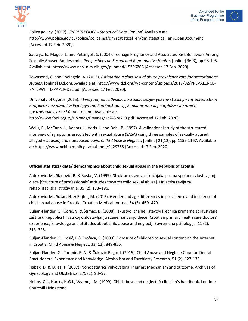



Police.gov.cy. (2017). *CYPRUS POLICE - Statistical Data*. [online] Available at: http://www.police.gov.cy/police/police.nsf/dmlstatistical\_en/dmlstatistical\_en?OpenDocument [Accessed 17 Feb. 2020].

Saewyc, E., Magee, L. and Pettingell, S. (2004). Teenage Pregnancy and Associated Risk Behaviors Among Sexually Abused Adolescents. *Perspectives on Sexual and Reproductive Health*, [online] 36(3), pp.98-105. Available at: https://www.ncbi.nlm.nih.gov/pubmed/15306268 [Accessed 17 Feb. 2020].

Townsend, C. and Rheingold, A. (2013). *Estimating a child sexual abuse prevalence rate for practitioners: studies.* [online] D2l.org. Available at: http://www.d2l.org/wp-content/uploads/2017/02/PREVALENCE-RATE-WHITE-PAPER-D2L.pdf [Accessed 17 Feb. 2020].

University of Cyprus (2015). *«Ενίσχυση των εθνικών πολιτικών αρχών για την εξάλειψη της σεξουαλικής βίας κατά των παιδιών: Ένα έργο του Συμβουλίου της Ευρώπης που περιλαμβάνει πιλοτικές πρωτοβουλίες στην Κύπρο*. [online] Available at: http://www.foni.org.cy/uploads/Erevnes/1c2432e713.pdf [Accessed 17 Feb. 2020].

Wells, R., McCann, J., Adams, J., Voris, J. and Dahl, B. (1997). A validational study of the structured interview of symptoms associated with sexual abuse (SASA) using three samples of sexually abused, allegedly abused, and nonabused boys. *Child Abuse & Neglect*, [online] 21(12), pp.1159-1167. Available at: https://www.ncbi.nlm.nih.gov/pubmed/9429768 [Accessed 17 Feb. 2020].

#### **Official statistics/ data/ demographics about child sexual abuse in the Republic of Croatia**

Ajduković, M., Sladović, B. & Buško, V. (1999). Struktura stavova stručnjaka prema spolnom zlostavljanju djece [Structure of professionals' attitudes towards child sexual abuse]. Hrvatska revija za rehabilitacijska istraživanja, 35 (2), 173–186.

Ajduković, M., Sušac, N. & Rajter, M. (2013). Gender and age differences in prevalence and incidence of child sexual abuse in Croatia. Croatian Medical Journal, 54 (5), 469–479.

Buljan-Flander, G., Čorić, V. & Štimac, D. (2008). Iskustvo, znanje i stavovi liječnika primarne zdravstvene zaštite u Republici Hrvatskoj o zlostavljanju i zanemarivanju djece [Croatian primary health care doctors' experience, knowledge and attitudes about child abuse and neglect]. Suvremena psihologija, 11 (2), 313–328.

Buljan-Flander, G., Ćosić, I. & Profaca, B. (2009). Exposure of children to sexual content on the Internet in Croatia. Child Abuse & Neglect, 33 (12), 849-856.

Buljan-Flander, G., Tarabić, B. N. & Čuković-Bagić, I. (2015). Child Abuse and Neglect: Croatian Dental Practitioners' Experience and Knowledge. Alcoholism and Psychiatry Research, 51 (2), 127-136.

Habek, D. & Kulaš, T. (2007). Nonobstetrics vulvovaginal injuries: Mechanism and outcome. Archives of Gynecology and Obstetrics, 275 (2), 93–97.

Hobbs, C.J., Hanks, H.G.I., Wynne, J.M. (1999). Child abuse and neglect: A clinician's handbook. London: Churchill Livingstone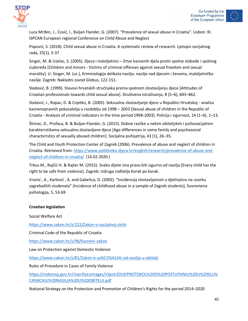



Luca Mrđen, J., Ćosić, I., Buljan Flander, G. (2007). "Prevalence of sexual abuse in Croatia". Lisbon: XI. ISPCAN European regional Conference on Child Abuse and Neglect

Popović, S. (2018). Child sexual abuse in Croatia: A systematic review of research. Ljetopis socijalnog rada, 25(1), 5-37

Singer, M. & Uzelac, S. (2005). Djeca i maloljetnici – žrtve kaznenih djela protiv spolne slobode i spolnog ćudoređa [Children and minors - Victims of criminal offenses against sexual freedom and sexual morality]. U: Singer, M. (ur.), Kriminologija delikata nasilja: nasilje nad djecom i ženama, maloljetničko nasilje. Zagreb: Nakladni zavod Globus, 122-151.

Sladović, B. (1999). Stavovi hrvatskih stručnjaka prema spolnom zlostavljanju djece [Attitudes of Croatian professionals towards child sexual abuse]. Društvena istraživanja, 8 (5–6), 843–862.

Stašević, I., Ropac, D. & Cvjetko, B. (2005). Seksualno zlostavljanje djece u Republici Hrvatskoj - analiza kaznenopravnih pokazatelja u razdoblju od 1998 – 2003 [Sexual abuse of children in the Republic of Croatia - Analysis of criminal indicators in the time period 1998-2003]. Policija i sigurnost, 14 (1–6), 1–13.

Štimac, D., Profaca, B. & Buljan-Flander, G. (2015). Dobne razlike u nekim obiteljskim i psihosocijalnim karakteristikama seksualno zlostavljane djece [Age differences in some family and psychosocial characteristics of sexually abused children]. Socijalna psihijatrija, 43 (1), 26–35.

The Child and Youth Protection Center of Zagreb (2006). Prevalence of abuse and neglect of children in Croatia. Retrieved from[: https://www.poliklinika-djeca.hr/english/research/prevalence-of-abuse-and](https://www.poliklinika-djeca.hr/english/research/prevalence-of-abuse-and-neglect-of-children-in-croatia/)[neglect-of-children-in-croatia/](https://www.poliklinika-djeca.hr/english/research/prevalence-of-abuse-and-neglect-of-children-in-croatia/) (14.02.2020.)

Trbus M., Rajčić H. & Rajter M. (2015). Svako dijete ima pravo biti sigurno od nasilja [Every child has the right to be safe from violence]. Zagreb: Udruga roditelja Korak po korak.

Vranic ́, A., Karlovic ́, A. and Gabelica, D. (2002). "Incidencija zlostavljanosti u djetinjstvu na uzorku zagrebačkih studenata" (Incidence of childhood abuse in a sample of Zagreb students), Suvremena psihologija, 5, 53-69

#### **Croatian legislation**

Social Welfare Act

<https://www.zakon.hr/z/222/Zakon-o-socijalnoj-skrbi>

Criminal Code of the Republic of Croatia

<https://www.zakon.hr/z/98/Kazneni-zakon>

Law on Protection against Domestic Violence

<https://www.zakon.hr/z/81/Zakon-o-za%C5%A1titi-od-nasilja-u-obitelji>

Rules of Procedure in Cases of Family Violence

[https://mdomsp.gov.hr/UserDocsImages/Vijesti2019/PROTOKOL%20O%20POSTUPANJU%20U%20SLU%](https://mdomsp.gov.hr/UserDocsImages/Vijesti2019/PROTOKOL%20O%20POSTUPANJU%20U%20SLU%C4%8CAJU%20NASILJA%20U%20OBITELJI.pdf) [C4%8CAJU%20NASILJA%20U%20OBITELJI.pdf](https://mdomsp.gov.hr/UserDocsImages/Vijesti2019/PROTOKOL%20O%20POSTUPANJU%20U%20SLU%C4%8CAJU%20NASILJA%20U%20OBITELJI.pdf)

National Strategy on the Protection and Promotion of Children's Rights for the period 2014–2020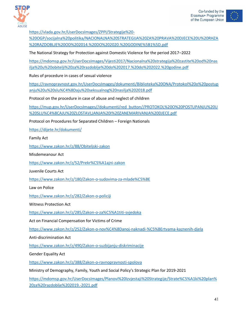



[https://vlada.gov.hr/UserDocsImages/ZPPI/Strategije%20-](https://vlada.gov.hr/UserDocsImages/ZPPI/Strategije%20-%20OGP/socijalna%20politika/NACIONALNA%20STRATEGIJA%20ZA%20PRAVA%20DJECE%20U%20RHZA%20RAZDOBLJE%20OD%202014.%20DO%202020.%20GODINE%5B1%5D.pdf)

[%20OGP/socijalna%20politika/NACIONALNA%20STRATEGIJA%20ZA%20PRAVA%20DJECE%20U%20RHZA](https://vlada.gov.hr/UserDocsImages/ZPPI/Strategije%20-%20OGP/socijalna%20politika/NACIONALNA%20STRATEGIJA%20ZA%20PRAVA%20DJECE%20U%20RHZA%20RAZDOBLJE%20OD%202014.%20DO%202020.%20GODINE%5B1%5D.pdf) [%20RAZDOBLJE%20OD%202014.%20DO%202020.%20GODINE%5B1%5D.pdf](https://vlada.gov.hr/UserDocsImages/ZPPI/Strategije%20-%20OGP/socijalna%20politika/NACIONALNA%20STRATEGIJA%20ZA%20PRAVA%20DJECE%20U%20RHZA%20RAZDOBLJE%20OD%202014.%20DO%202020.%20GODINE%5B1%5D.pdf)

The National Strategy for Protection against Domestic Violence for the period 2017–2022

[https://mdomsp.gov.hr/UserDocsImages/Vijesti2017/Nacionalna%20strategija%20zastite%20od%20nas](https://mdomsp.gov.hr/UserDocsImages/Vijesti2017/Nacionalna%20strategija%20zastite%20od%20nasilja%20u%20obitelji%20za%20razdoblje%20do%202017.%20do%202022.%20godine.pdf) [ilja%20u%20obitelji%20za%20razdoblje%20do%202017.%20do%202022.%20godine.pdf](https://mdomsp.gov.hr/UserDocsImages/Vijesti2017/Nacionalna%20strategija%20zastite%20od%20nasilja%20u%20obitelji%20za%20razdoblje%20do%202017.%20do%202022.%20godine.pdf)

Rules of procedure in cases of sexual violence

[https://ravnopravnost.gov.hr/UserDocsImages/dokumenti/Biblioteka%20ONA/Protokol%20o%20postup](https://ravnopravnost.gov.hr/UserDocsImages/dokumenti/Biblioteka%20ONA/Protokol%20o%20postupanju%20u%20slu%C4%8Daju%20seksualnog%20nasilja%202018.pdf) [anju%20u%20slu%C4%8Daju%20seksualnog%20nasilja%202018.pdf](https://ravnopravnost.gov.hr/UserDocsImages/dokumenti/Biblioteka%20ONA/Protokol%20o%20postupanju%20u%20slu%C4%8Daju%20seksualnog%20nasilja%202018.pdf)

Protocol on the procedure in case of abuse and neglect of children

[https://mup.gov.hr/UserDocsImages//dokumenti/red\\_button//PROTOKOL%20O%20POSTUPANJU%20U](https://mup.gov.hr/UserDocsImages/dokumenti/red_button/PROTOKOL%20O%20POSTUPANJU%20U%20SLU%C4%8CAJU%20ZLOSTAVLJANJA%20I%20ZANEMARIVANJA%20DJECE.pdf) [%20SLU%C4%8CAJU%20ZLOSTAVLJANJA%20I%20ZANEMARIVANJA%20DJECE.pdf](https://mup.gov.hr/UserDocsImages/dokumenti/red_button/PROTOKOL%20O%20POSTUPANJU%20U%20SLU%C4%8CAJU%20ZLOSTAVLJANJA%20I%20ZANEMARIVANJA%20DJECE.pdf)

Protocol on Procedures for Separated Children – Foreign Nationals

<https://dijete.hr/dokumenti/>

Family Act

<https://www.zakon.hr/z/88/Obiteljski-zakon>

Misdemeanour Act

<https://www.zakon.hr/z/52/Prekr%C5%A1ajni-zakon>

Juvenile Courts Act

<https://www.zakon.hr/z/180/Zakon-o-sudovima-za-mlade%C5%BE>

Law on Police

<https://www.zakon.hr/z/282/Zakon-o-policiji>

Witness Protection Act

<https://www.zakon.hr/z/285/Zakon-o-za%C5%A1titi-svjedoka>

Act on Financial Compensation for Victims of Crime

<https://www.zakon.hr/z/252/Zakon-o-nov%C4%8Danoj-naknadi-%C5%BErtvama-kaznenih-djela>

Anti-discrimination Act

<https://www.zakon.hr/z/490/Zakon-o-suzbijanju-diskriminacije>

Gender Equality Act

<https://www.zakon.hr/z/388/Zakon-o-ravnopravnosti-spolova>

Ministry of Demography, Family, Youth and Social Policy's Strategic Plan for 2019-2021

[https://mdomsp.gov.hr/UserDocsImages/Planovi%20Izvjestaji%20Strategije/Strate%C5%A1ki%20plan%](https://mdomsp.gov.hr/UserDocsImages/Planovi%20Izvjestaji%20Strategije/Strate%C5%A1ki%20plan%20za%20razdoblje%202019.-2021.pdf) [20za%20razdoblje%202019.-2021.pdf](https://mdomsp.gov.hr/UserDocsImages/Planovi%20Izvjestaji%20Strategije/Strate%C5%A1ki%20plan%20za%20razdoblje%202019.-2021.pdf)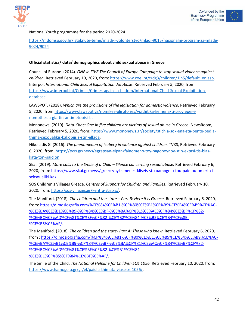





National Youth programme for the period 2020-2024

[https://mdomsp.gov.hr/istaknute-teme/mladi-i-volonterstvo/mladi-9015/nacionalni-program-za-mlade-](https://mdomsp.gov.hr/istaknute-teme/mladi-i-volonterstvo/mladi-9015/nacionalni-program-za-mlade-9024/9024)[9024/9024](https://mdomsp.gov.hr/istaknute-teme/mladi-i-volonterstvo/mladi-9015/nacionalni-program-za-mlade-9024/9024)

#### **Official statistics/ data/ demographics about child sexual abuse in Greece**

Council of Europe. (2014). *ONE in FIVE The Council of Europe Campaign to stop sexual violence against children*. Retrieved February 10, 2020, from: [https://www.coe.int/t/dg3/children/1in5/default\\_en.asp.](https://www.coe.int/t/dg3/children/1in5/default_en.asp) Interpol. *International Child Sexual Exploitation database*. Retrieved February 5, 2020, from [https://www.interpol.int/Crimes/Crimes-against-children/International-Child-Sexual-Exploitation](https://www.interpol.int/Crimes/Crimes-against-children/International-Child-Sexual-Exploitation-database)[database.](https://www.interpol.int/Crimes/Crimes-against-children/International-Child-Sexual-Exploitation-database)

LAWSPOT. (2018). *Which are the provisions of the legislation for domestic violence*. Retrieved February 5, 2020, from [https://www.lawspot.gr/nomikes-plirofories/voithitika-kemena/ti-provlepei-i](https://www.lawspot.gr/nomikes-plirofories/voithitika-kemena/ti-provlepei-i-nomothesia-gia-tin-antimetopisi-tis)[nomothesia-gia-tin-antimetopisi-tis.](https://www.lawspot.gr/nomikes-plirofories/voithitika-kemena/ti-provlepei-i-nomothesia-gia-tin-antimetopisi-tis)

Mononews. (2019). *Data-Choc: One in five children are victims of sexual abuse in Greece*. NewsRoom, Retrieved February 5, 2020, from[: https://www.mononews.gr/society/stichia-sok-ena-sta-pente-pedia](https://www.mononews.gr/society/stichia-sok-ena-sta-pente-pedia-thima-sexoualikis-kakopiisis-stin-ellada)[thima-sexoualikis-kakopiisis-stin-ellada.](https://www.mononews.gr/society/stichia-sok-ena-sta-pente-pedia-thima-sexoualikis-kakopiisis-stin-ellada)

Nikolaidis G. (2016). *The phenomenon of iceberg in violence against children.* TVXS, Retrieved February 6, 2020, from: [https://tvxs.gr/news/egrapsan-eipan/fainomeno-toy-pagoboynoy-stin-ektasi-tis-bias](https://tvxs.gr/news/egrapsan-eipan/fainomeno-toy-pagoboynoy-stin-ektasi-tis-bias-kata-ton-paidion)[kata-ton-paidion.](https://tvxs.gr/news/egrapsan-eipan/fainomeno-toy-pagoboynoy-stin-ektasi-tis-bias-kata-ton-paidion)

Skai. (2019). *More calls to the Smile of a Child – Silence concerning sexual abuse.* Retrieved February 6, 2020, from[: https://www.skai.gr/news/greece/ayksimenes-kliseis-sto-xamogelo-tou-paidiou-omerta-i](https://www.skai.gr/news/greece/ayksimenes-kliseis-sto-xamogelo-tou-paidiou-omerta-i-seksoualiki-kak)[seksoualiki-kak.](https://www.skai.gr/news/greece/ayksimenes-kliseis-sto-xamogelo-tou-paidiou-omerta-i-seksoualiki-kak)

SOS Children's Villages Greece. *Centres of Support for Children and Families*. Retrieved February 10, 2020, from[: https://sos-villages.gr/kentra-stirixis/.](https://sos-villages.gr/kentra-stirixis/)

The Maniford. (2018). *The children and the state – Part B: Here it is Greece.* Retrieved February 6, 2020, from: [https://dimosiografia.com/%CF%84%CE%B1-%CF%80%CE%B1%CE%B9%CE%B4%CE%B9%CE%AC-](https://dimosiografia.com/%CF%84%CE%B1-%CF%80%CE%B1%CE%B9%CE%B4%CE%B9%CE%AC-%CE%BA%CE%B1%CE%B9-%CF%84%CE%BF-%CE%BA%CF%81%CE%AC%CF%84%CE%BF%CF%82-%CE%BC%CE%AD%CF%81%CE%BF%CF%82-%CE%B2%CE%84-%CE%B5%CE%B4%CF%8E-%CE%B5%CE%AF/) [%CE%BA%CE%B1%CE%B9-%CF%84%CE%BF-%CE%BA%CF%81%CE%AC%CF%84%CE%BF%CF%82-](https://dimosiografia.com/%CF%84%CE%B1-%CF%80%CE%B1%CE%B9%CE%B4%CE%B9%CE%AC-%CE%BA%CE%B1%CE%B9-%CF%84%CE%BF-%CE%BA%CF%81%CE%AC%CF%84%CE%BF%CF%82-%CE%BC%CE%AD%CF%81%CE%BF%CF%82-%CE%B2%CE%84-%CE%B5%CE%B4%CF%8E-%CE%B5%CE%AF/) [%CE%BC%CE%AD%CF%81%CE%BF%CF%82-%CE%B2%CE%84-%CE%B5%CE%B4%CF%8E-](https://dimosiografia.com/%CF%84%CE%B1-%CF%80%CE%B1%CE%B9%CE%B4%CE%B9%CE%AC-%CE%BA%CE%B1%CE%B9-%CF%84%CE%BF-%CE%BA%CF%81%CE%AC%CF%84%CE%BF%CF%82-%CE%BC%CE%AD%CF%81%CE%BF%CF%82-%CE%B2%CE%84-%CE%B5%CE%B4%CF%8E-%CE%B5%CE%AF/) [%CE%B5%CE%AF/.](https://dimosiografia.com/%CF%84%CE%B1-%CF%80%CE%B1%CE%B9%CE%B4%CE%B9%CE%AC-%CE%BA%CE%B1%CE%B9-%CF%84%CE%BF-%CE%BA%CF%81%CE%AC%CF%84%CE%BF%CF%82-%CE%BC%CE%AD%CF%81%CE%BF%CF%82-%CE%B2%CE%84-%CE%B5%CE%B4%CF%8E-%CE%B5%CE%AF/)

The Maniford. (2018). *The children and the state- Part A: Those who knew.* Retrieved February 6, 2020, from [: https://dimosiografia.com/%CF%84%CE%B1-%CF%80%CE%B1%CE%B9%CE%B4%CE%B9%CE%AC-](https://dimosiografia.com/%CF%84%CE%B1-%CF%80%CE%B1%CE%B9%CE%B4%CE%B9%CE%AC-%CE%BA%CE%B1%CE%B9-%CF%84%CE%BF-%CE%BA%CF%81%CE%AC%CF%84%CE%BF%CF%82-%CE%BC%CE%AD%CF%81%CE%BF%CF%82-%CE%B1%CE%84-%CE%B1%CF%85%CF%84%CE%BF%CE%AF/) [%CE%BA%CE%B1%CE%B9-%CF%84%CE%BF-%CE%BA%CF%81%CE%AC%CF%84%CE%BF%CF%82-](https://dimosiografia.com/%CF%84%CE%B1-%CF%80%CE%B1%CE%B9%CE%B4%CE%B9%CE%AC-%CE%BA%CE%B1%CE%B9-%CF%84%CE%BF-%CE%BA%CF%81%CE%AC%CF%84%CE%BF%CF%82-%CE%BC%CE%AD%CF%81%CE%BF%CF%82-%CE%B1%CE%84-%CE%B1%CF%85%CF%84%CE%BF%CE%AF/) [%CE%BC%CE%AD%CF%81%CE%BF%CF%82-%CE%B1%CE%84-](https://dimosiografia.com/%CF%84%CE%B1-%CF%80%CE%B1%CE%B9%CE%B4%CE%B9%CE%AC-%CE%BA%CE%B1%CE%B9-%CF%84%CE%BF-%CE%BA%CF%81%CE%AC%CF%84%CE%BF%CF%82-%CE%BC%CE%AD%CF%81%CE%BF%CF%82-%CE%B1%CE%84-%CE%B1%CF%85%CF%84%CE%BF%CE%AF/) [%CE%B1%CF%85%CF%84%CE%BF%CE%AF/.](https://dimosiografia.com/%CF%84%CE%B1-%CF%80%CE%B1%CE%B9%CE%B4%CE%B9%CE%AC-%CE%BA%CE%B1%CE%B9-%CF%84%CE%BF-%CE%BA%CF%81%CE%AC%CF%84%CE%BF%CF%82-%CE%BC%CE%AD%CF%81%CE%BF%CF%82-%CE%B1%CE%84-%CE%B1%CF%85%CF%84%CE%BF%CE%AF/)

The Smile of the Child. *The National Helpline for Children SOS 1056.* Retrieved February 10, 2020, from: [https://www.hamogelo.gr/gr/el/paidia-thimata-vias:sos-1056/.](https://www.hamogelo.gr/gr/el/paidia-thimata-vias:sos-1056/)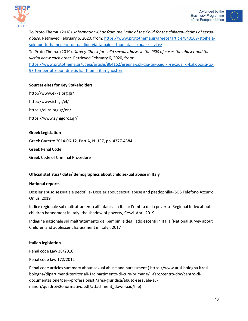



To Proto Thema. (2018). *Information-Choc from the Smile of the Child for the children-victims of sexual abuse.* Retrieved February 6, 2020, from: [https://www.protothema.gr/greece/article/840169/stoiheia](https://www.protothema.gr/greece/article/840169/stoiheia-sok-apo-to-hamogelo-tou-paidiou-gia-ta-paidia-thumata-sexoualikis-vias/)[sok-apo-to-hamogelo-tou-paidiou-gia-ta-paidia-thumata-sexoualikis-vias/.](https://www.protothema.gr/greece/article/840169/stoiheia-sok-apo-to-hamogelo-tou-paidiou-gia-ta-paidia-thumata-sexoualikis-vias/)

To Proto Thema. (2019). *Survey-Chock for child sexual abuse, in the 93% of cases the abuser and the victim knew each other*. Retrieved February 6, 2020, from:

[https://www.protothema.gr/ugeia/article/864162/ereuna-sok-gia-tin-paidiki-sexoualiki-kakopoiisi-to-](https://www.protothema.gr/ugeia/article/864162/ereuna-sok-gia-tin-paidiki-sexoualiki-kakopoiisi-to-93-ton-periptoseon-drastis-kai-thuma-itan-gnostoi/)[93-ton-periptoseon-drastis-kai-thuma-itan-gnostoi/.](https://www.protothema.gr/ugeia/article/864162/ereuna-sok-gia-tin-paidiki-sexoualiki-kakopoiisi-to-93-ton-periptoseon-drastis-kai-thuma-itan-gnostoi/)

#### **Sources-sites for Key Stakeholders**

<http://www.ekka.org.gr/> <http://www.ich.gr/el/> <https://eliza.org.gr/en/> <https://www.synigoros.gr/>

#### **Greek Legislation**

Greek Gazette 2014-06-12, Part A, N. 137, pp. 4377-4384.

Greek Penal Code

Greek Code of Criminal Procedure

#### **Official statistics/ data/ demographics about child sexual abuse in Italy**

#### **National reports**

Dossier abuso sessuale e pedofilia- Dossier about sexual abuse and paedophilia- SOS Telefono Azzurro Onlus, 2019

Indice regionale sul maltrattamento all'infanzia in Italia: l'ombra della povertà- Regional Index about children harassment in Italy: the shadow of poverty, Cesvi, April 2019

Indagine nazionale sul maltrattamento dei bambini e degli adolescenti in Italia (National survey about Children and adolescent harassment in Italy), 2017

#### **Italian legislation**

Penal code Law 38/2016

Penal code law 172/2012

Penal code articles summary about sexual abuse and harassment ( [https://www.ausl.bologna.it/asl](https://www.ausl.bologna.it/asl-bologna/dipartimenti-territoriali-1/dipartimento-di-cure-primarie/il-faro/centro-doc/centro-di-documentazione/per-i-professionisti/area-giuridica/abuso-sessuale-su-minori/quadro%20normativo.pdf/attachment_download/file)[bologna/dipartimenti-territoriali-1/dipartimento-di-cure-primarie/il-faro/centro-doc/centro-di](https://www.ausl.bologna.it/asl-bologna/dipartimenti-territoriali-1/dipartimento-di-cure-primarie/il-faro/centro-doc/centro-di-documentazione/per-i-professionisti/area-giuridica/abuso-sessuale-su-minori/quadro%20normativo.pdf/attachment_download/file)[documentazione/per-i-professionisti/area-giuridica/abuso-sessuale-su](https://www.ausl.bologna.it/asl-bologna/dipartimenti-territoriali-1/dipartimento-di-cure-primarie/il-faro/centro-doc/centro-di-documentazione/per-i-professionisti/area-giuridica/abuso-sessuale-su-minori/quadro%20normativo.pdf/attachment_download/file)[minori/quadro%20normativo.pdf/attachment\\_download/file\)](https://www.ausl.bologna.it/asl-bologna/dipartimenti-territoriali-1/dipartimento-di-cure-primarie/il-faro/centro-doc/centro-di-documentazione/per-i-professionisti/area-giuridica/abuso-sessuale-su-minori/quadro%20normativo.pdf/attachment_download/file)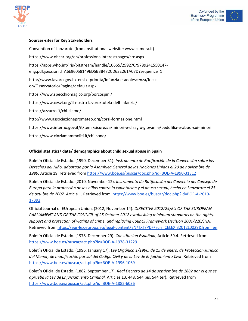





#### **Sources-sites for Key Stakeholders**

Convention of Lanzarote (from institutional website: www.camera.it) <https://www.ohchr.org/en/professionalinterest/pages/crc.aspx> [https://apps.who.int/iris/bitstream/handle/10665/259270/9789241550147](https://apps.who.int/iris/bitstream/handle/10665/259270/9789241550147-eng.pdf;jsessionid=A6E96058149ED5B3B472CD63E261A07D?sequence=1) [eng.pdf;jsessionid=A6E96058149ED5B3B472CD63E261A07D?sequence=1](https://apps.who.int/iris/bitstream/handle/10665/259270/9789241550147-eng.pdf;jsessionid=A6E96058149ED5B3B472CD63E261A07D?sequence=1) [http://www.lavoro.gov.it/temi-e-priorita/infanzia-e-adolescenza/focus](http://www.lavoro.gov.it/temi-e-priorita/infanzia-e-adolescenza/focus-on/Osservatorio/Pagine/default.aspx)[on/Osservatorio/Pagine/default.aspx](http://www.lavoro.gov.it/temi-e-priorita/infanzia-e-adolescenza/focus-on/Osservatorio/Pagine/default.aspx) <https://www.specchiomagico.org/porcospini/> <https://www.cesvi.org/il-nostro-lavoro/tutela-dell-infanzia/> <https://azzurro.it/chi-siamo/> <http://www.associazioneprometeo.org/corsi-formazione.html> <https://www.interno.gov.it/it/temi/sicurezza/minori-e-disagio-giovanile/pedofilia-e-abusi-sui-minori> <https://www.cinziamammoliti.it/chi-sono/>

#### **Official statistics/ data/ demographics about child sexual abuse in Spain**

Boletín Oficial de Estado. (1990, December 31). *Instrumento de Ratificación de la Convención sobre los Derechos del Niño, adoptada por la Asamblea General de las Naciones Unidas el 20 de noviembre de 1989,* Article 19. retrieved from<https://www.boe.es/buscar/doc.php?id=BOE-A-1990-31312>

Boletín Oficial de Estado. (2010, November 12). *Instrumento de Ratificación del Convenio del Consejo de Europa para la protección de los niños contra la explotación y el abuso sexual, hecho en Lanzarote el 25 de octubre de 2007,* Article 1. Retrieved from [https://www.boe.es/buscar/doc.php?id=BOE-A-2010-](https://www.boe.es/buscar/doc.php?id=BOE-A-2010-17392) [17392](https://www.boe.es/buscar/doc.php?id=BOE-A-2010-17392)

Official Journal of EUropean Union. (2012, November 14). *DIRECTIVE 2012/29/EU OF THE EUROPEAN PARLIAMENT AND OF THE COUNCIL of 25 October 2012 establishing minimum standards on the rights, support and protection of victims of crime, and replacing Council Framework Decision 2001/220/JHA.*  Retrieved from<https://eur-lex.europa.eu/legal-content/EN/TXT/PDF/?uri=CELEX:32012L0029&from=en>

Boletín Oficial de Estado. (1978, December 29). *Constitución Española*, Article 39.4. Retrieved from <https://www.boe.es/buscar/act.php?id=BOE-A-1978-31229>

Boletín Oficial de Estado. (1996, January 17). *Ley Orgánica 1/1996, de 15 de enero, de Protección Jurídica del Menor, de modificación parcial del Código Civil y de la Ley de Enjuiciamiento Civil*. Retrieved from <https://www.boe.es/buscar/act.php?id=BOE-A-1996-1069>

Boletín Oficial de Estado. (1882, September 17). *Real Decreto de 14 de septiembre de 1882 por el que se aprueba la Ley de Enjuiciamiento Criminal,* Articles 13, 448, 544 bis, 544 ter). Retrieved from <https://www.boe.es/buscar/act.php?id=BOE-A-1882-6036>